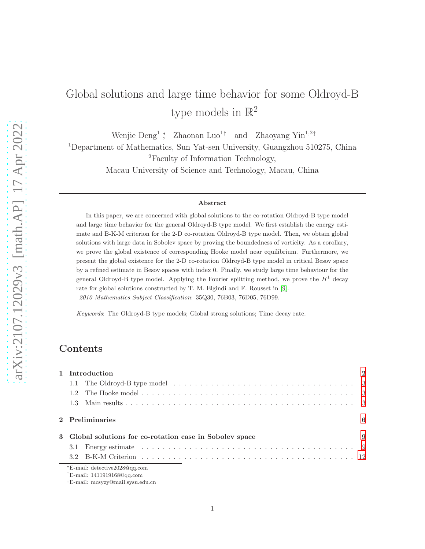# Global solutions and large time behavior for some Oldroyd-B type models in  $\mathbb{R}^2$

Wenjie Deng<sup>1</sup>; Zhaonan Luo<sup>1†</sup> and Zhaoyang Yin<sup>1,2‡</sup> <sup>1</sup>Department of Mathematics, Sun Yat-sen University, Guangzhou 510275, China <sup>2</sup>Faculty of Information Technology, Macau University of Science and Technology, Macau, China

#### Abstract

In this paper, we are concerned with global solutions to the co-rotation Oldroyd-B type model and large time behavior for the general Oldroyd-B type model. We first establish the energy estimate and B-K-M criterion for the 2-D co-rotation Oldroyd-B type model. Then, we obtain global solutions with large data in Sobolev space by proving the boundedness of vorticity. As a corollary, we prove the global existence of corresponding Hooke model near equilibrium. Furthermore, we present the global existence for the 2-D co-rotation Oldroyd-B type model in critical Besov space by a refined estimate in Besov spaces with index 0. Finally, we study large time behaviour for the general Oldroyd-B type model. Applying the Fourier spiltting method, we prove the  $H^1$  decay rate for global solutions constructed by T. M. Elgindi and F. Rousset in [\[9\]](#page-29-0). 2010 Mathematics Subject Classification: 35Q30, 76B03, 76D05, 76D99.

Keywords: The Oldroyd-B type models; Global strong solutions; Time decay rate.

# Contents

| 1 Introduction       |                                                                      |    |  |  |  |  |
|----------------------|----------------------------------------------------------------------|----|--|--|--|--|
|                      |                                                                      |    |  |  |  |  |
|                      |                                                                      |    |  |  |  |  |
|                      |                                                                      |    |  |  |  |  |
| 2 Preliminaries<br>6 |                                                                      |    |  |  |  |  |
|                      | 3 Global solutions for co-rotation case in Sobolev space             | -9 |  |  |  |  |
|                      |                                                                      |    |  |  |  |  |
|                      |                                                                      |    |  |  |  |  |
|                      | *E-mail: detective2028@qq.com<br>$\dagger$ E-mail: 1411919168@qq.com |    |  |  |  |  |

<sup>‡</sup>E-mail: mcsyzy@mail.sysu.edu.cn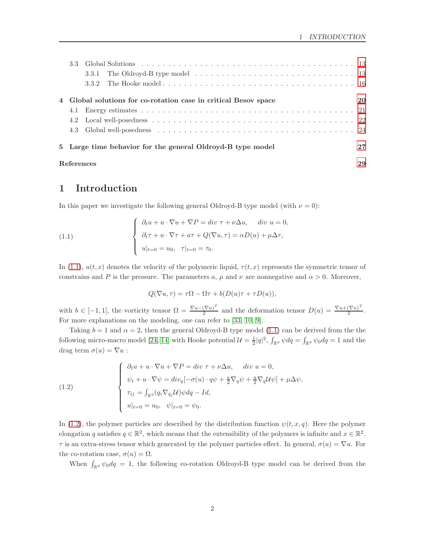|                                                            |  | 4 Global solutions for co-rotation case in critical Besov space |          |  |  |  |  |
|------------------------------------------------------------|--|-----------------------------------------------------------------|----------|--|--|--|--|
| 4.1                                                        |  |                                                                 |          |  |  |  |  |
|                                                            |  |                                                                 |          |  |  |  |  |
|                                                            |  |                                                                 |          |  |  |  |  |
| 5 Large time behavior for the general Oldroyd-B type model |  |                                                                 |          |  |  |  |  |
|                                                            |  | References                                                      | 27<br>29 |  |  |  |  |

# <span id="page-1-0"></span>1 Introduction

In this paper we investigate the following general Oldroyd-B type model (with  $\nu = 0$ ):

<span id="page-1-1"></span>(1.1) 
$$
\begin{cases} \n\partial_t u + u \cdot \nabla u + \nabla P = \operatorname{div} \tau + \nu \Delta u, & \operatorname{div} u = 0, \\ \n\partial_t \tau + u \cdot \nabla \tau + a \tau + Q(\nabla u, \tau) = \alpha D(u) + \mu \Delta \tau, \\ \n u|_{t=0} = u_0, & \tau|_{t=0} = \tau_0. \n\end{cases}
$$

In [\(1.1\)](#page-1-1),  $u(t, x)$  denotes the velocity of the polymeric liquid,  $\tau(t, x)$  represents the symmetric tensor of constrains and P is the pressure. The parameters a,  $\mu$  and  $\nu$  are nonnegative and  $\alpha > 0$ . Moreover,

$$
Q(\nabla u, \tau) = \tau \Omega - \Omega \tau + b(D(u)\tau + \tau D(u)),
$$

with  $b \in [-1,1]$ , the vorticity tensor  $\Omega = \frac{\nabla u - (\nabla u)^T}{2}$  $\frac{(\nabla u)^T}{2}$  and the deformation tensor  $D(u) = \frac{\nabla u + (\nabla u)^T}{2}$  $rac{(v u)}{2}$ . For more explanations on the modeling, one can refer to [\[33,](#page-31-0) [10,](#page-29-1) [9\]](#page-29-0).

Taking  $b = 1$  and  $\alpha = 2$ , then the general Oldroyd-B type model [\(1.1\)](#page-1-1) can be derived from the the following micro-macro model [\[24,](#page-30-0) [14\]](#page-29-2) with Hooke potential  $\mathcal{U} = \frac{1}{2}|q|^2$ ,  $\int_{\mathbb{R}^d} \psi dq = \int_{\mathbb{R}^d} \psi_0 dq = 1$  and the drag term  $\sigma(u) = \nabla u$ :

<span id="page-1-2"></span>(1.2)  

$$
\begin{cases}\n\partial_t u + u \cdot \nabla u + \nabla P = div \tau + \nu \Delta u, \quad div \ u = 0, \\
\psi_t + u \cdot \nabla \psi = div_q[-\sigma(u) \cdot q\psi + \frac{a}{2} \nabla_q \psi + \frac{a}{2} \nabla_q U \psi] + \mu \Delta \psi, \\
\tau_{ij} = \int_{\mathbb{R}^d} (q_i \nabla_{q_j} U) \psi dq - Id, \\
u|_{t=0} = u_0, \quad \psi|_{t=0} = \psi_0.\n\end{cases}
$$

In [\(1.2\)](#page-1-2), the polymer particles are described by the distribution function  $\psi(t, x, q)$ . Here the polymer elongation q satisfies  $q \in \mathbb{R}^2$ , which means that the extensibility of the polymers is infinite and  $x \in \mathbb{R}^2$ .  $\tau$  is an extra-stress tensor which generated by the polymer particles effect. In general,  $\sigma(u) = \nabla u$ . For the co-rotation case,  $\sigma(u) = \Omega$ .

When  $\int_{\mathbb{R}^d} \psi_0 dq = 1$ , the following co-rotation Oldroyd-B type model can be derived from the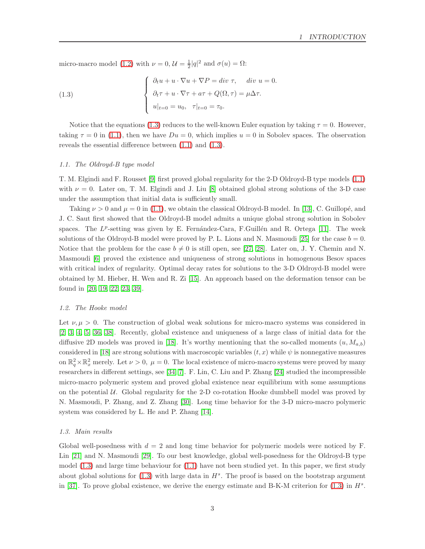micro-macro model [\(1.2\)](#page-1-2) with  $\nu = 0$ ,  $\mathcal{U} = \frac{1}{2}|q|^2$  and  $\sigma(u) = \Omega$ :

<span id="page-2-3"></span>(1.3) 
$$
\begin{cases} \n\partial_t u + u \cdot \nabla u + \nabla P = \text{div } \tau, & \text{div } u = 0. \\
\partial_t \tau + u \cdot \nabla \tau + a \tau + Q(\Omega, \tau) = \mu \Delta \tau. \\
u|_{t=0} = u_0, & \tau|_{t=0} = \tau_0. \n\end{cases}
$$

Notice that the equations [\(1.3\)](#page-2-3) reduces to the well-known Euler equation by taking  $\tau = 0$ . However, taking  $\tau = 0$  in [\(1.1\)](#page-1-1), then we have  $Du = 0$ , which implies  $u = 0$  in Sobolev spaces. The observation reveals the essential difference between [\(1.1\)](#page-1-1) and [\(1.3\)](#page-2-3).

#### <span id="page-2-0"></span>1.1. The Oldroyd-B type model

T. M. Elgindi and F. Rousset [\[9\]](#page-29-0) first proved global regularity for the 2-D Oldroyd-B type models [\(1.1\)](#page-1-1) with  $\nu = 0$ . Later on, T. M. Elgindi and J. Liu [\[8\]](#page-29-3) obtained global strong solutions of the 3-D case under the assumption that initial data is sufficiently small.

Taking  $\nu > 0$  and  $\mu = 0$  in [\(1.1\)](#page-1-1), we obtain the classical Oldroyd-B model. In [\[13\]](#page-29-4), C. Guillopé, and J. C. Saut first showed that the Oldroyd-B model admits a unique global strong solution in Sobolev spaces. The  $L^p$ -setting was given by E. Fernández-Cara, F. Guillén and R. Ortega [\[11\]](#page-29-5). The week solutions of the Oldroyd-B model were proved by P. L. Lions and N. Masmoudi [\[25\]](#page-30-1) for the case  $b = 0$ . Notice that the problem for the case  $b \neq 0$  is still open, see [\[27,](#page-30-2) [28\]](#page-30-3). Later on, J. Y. Chemin and N. Masmoudi [\[6\]](#page-29-6) proved the existence and uniqueness of strong solutions in homogenous Besov spaces with critical index of regularity. Optimal decay rates for solutions to the 3-D Oldroyd-B model were obtained by M. Hieber, H. Wen and R. Zi [\[15\]](#page-29-7). An approach based on the deformation tensor can be found in [\[20,](#page-30-4) [19,](#page-30-5) [22,](#page-30-6) [23,](#page-30-7) [39\]](#page-31-1).

#### <span id="page-2-1"></span>1.2. The Hooke model

Let  $\nu, \mu > 0$ . The construction of global weak solutions for micro-macro systems was considered in [\[2,](#page-29-8) [3,](#page-29-9) [4,](#page-29-10) [5,](#page-29-11) [36,](#page-31-2) [38\]](#page-31-3). Recently, global existence and uniqueness of a large class of initial data for the diffusive 2D models was proved in [\[18\]](#page-30-8). It's worthy mentioning that the so-called moments  $(u, M_{a,b})$ considered in [\[18\]](#page-30-8) are strong solutions with macroscopic variables  $(t, x)$  while  $\psi$  is nonnegative measures on  $\mathbb{R}^2_q \times \mathbb{R}^2_x$  merely. Let  $\nu > 0$ ,  $\mu = 0$ . The local existence of micro-macro systems were proved by many researchers in different settings, see [\[34,](#page-31-4) [7\]](#page-29-12). F. Lin, C. Liu and P. Zhang [\[24\]](#page-30-0) studied the incompressible micro-macro polymeric system and proved global existence near equilibrium with some assumptions on the potential  $U$ . Global regularity for the 2-D co-rotation Hooke dumbbell model was proved by N. Masmoudi, P. Zhang, and Z. Zhang [\[30\]](#page-30-9). Long time behavior for the 3-D micro-macro polymeric system was considered by L. He and P. Zhang [\[14\]](#page-29-2).

#### <span id="page-2-2"></span>1.3. Main results

Global well-posedness with  $d = 2$  and long time behavior for polymeric models were noticed by F. Lin [\[21\]](#page-30-10) and N. Masmoudi [\[29\]](#page-30-11). To our best knowledge, global well-posedness for the Oldroyd-B type model [\(1.3\)](#page-2-3) and large time behaviour for [\(1.1\)](#page-1-1) have not been studied yet. In this paper, we first study about global solutions for  $(1.3)$  with large data in  $H<sup>s</sup>$ . The proof is based on the bootstrap argument in [\[37\]](#page-31-5). To prove global existence, we derive the energy estimate and B-K-M criterion for  $(1.3)$  in  $H<sup>s</sup>$ .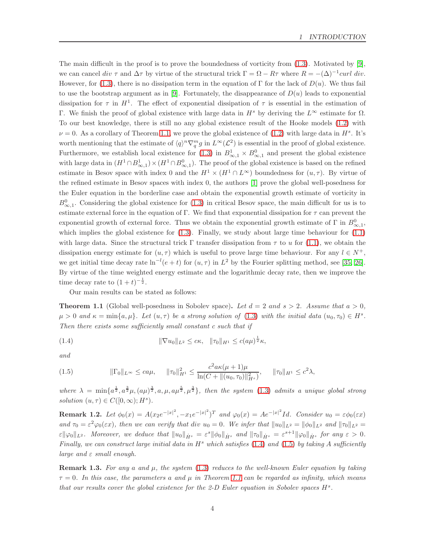The main difficult in the proof is to prove the boundedness of vorticity from [\(1.3\)](#page-2-3). Motivated by [\[9\]](#page-29-0), we can cancel div  $\tau$  and  $\Delta \tau$  by virtue of the structural trick  $\Gamma = \Omega - R\tau$  where  $R = -(\Delta)^{-1}curl \ div$ . However, for [\(1.3\)](#page-2-3), there is no dissipation term in the equation of Γ for the lack of  $D(u)$ . We thus fail to use the bootstrap argument as in [\[9\]](#page-29-0). Fortunately, the disappearance of  $D(u)$  leads to exponential dissipation for  $\tau$  in  $H^1$ . The effect of exponential dissipation of  $\tau$  is essential in the estimation of Γ. We finish the proof of global existence with large data in  $H^s$  by deriving the  $L^{\infty}$  estimate for  $\Omega$ . To our best knowledge, there is still no any global existence result of the Hooke models [\(1.2\)](#page-1-2) with  $\nu = 0$ . As a corollary of Theorem [1.1,](#page-3-0) we prove the global existence of [\(1.2\)](#page-1-2) with large data in  $H^s$ . It's worth mentioning that the estimate of  $\langle q \rangle^n \nabla_q^m g$  in  $L^{\infty}(\mathcal{L}^2)$  is essential in the proof of global existence. Furthermore, we establish local existence for  $(1.3)$  in  $B_{\infty,1}^1 \times B_{\infty,1}^0$  and present the global existence with large data in  $(H^1 \cap B^1_{\infty,1}) \times (H^1 \cap B^0_{\infty,1})$ . The proof of the global existence is based on the refined estimate in Besov space with index 0 and the  $H^1 \times (H^1 \cap L^{\infty})$  boundedness for  $(u, \tau)$ . By virtue of the refined estimate in Besov spaces with index 0, the authors [\[1\]](#page-29-13) prove the global well-posedness for the Euler equation in the borderline case and obtain the exponential growth estimate of vorticity in  $B_{\infty,1}^0$ . Considering the global existence for [\(1.3\)](#page-2-3) in critical Besov space, the main difficult for us is to estimate external force in the equation of Γ. We find that exponential dissipation for  $\tau$  can prevent the exponential growth of external force. Thus we obtain the exponential growth estimate of  $\Gamma$  in  $B^0_{\infty,1}$ , which implies the global existence for  $(1.3)$ . Finally, we study about large time behaviour for  $(1.1)$ with large data. Since the structural trick  $\Gamma$  transfer dissipation from  $\tau$  to u for [\(1.1\)](#page-1-1), we obtain the dissipation energy estimate for  $(u, \tau)$  which is useful to prove large time behaviour. For any  $l \in N^+$ , we get initial time decay rate  $\ln^{-l}(e+t)$  for  $(u, \tau)$  in  $L^2$  by the Fourier splitting method, see [\[35,](#page-31-6) [26\]](#page-30-12). By virtue of the time weighted energy estimate and the logarithmic decay rate, then we improve the time decay rate to  $(1+t)^{-\frac{1}{2}}$ .

Our main results can be stated as follows:

<span id="page-3-0"></span>**Theorem 1.1** (Global well-posedness in Sobolev space). Let  $d = 2$  and  $s > 2$ . Assume that  $a > 0$ ,  $\mu > 0$  and  $\kappa = \min\{a, \mu\}$ . Let  $(u, \tau)$  be a strong solution of [\(1.3\)](#page-2-3) with the initial data  $(u_0, \tau_0) \in H^s$ . Then there exists some sufficiently small constant c such that if

<span id="page-3-1"></span>(1.4) 
$$
\|\nabla u_0\|_{L^2} \leq c\kappa, \quad \|\tau_0\|_{H^1} \leq c(a\mu)^{\frac{1}{2}}\kappa,
$$

and

<span id="page-3-2"></span>
$$
(1.5) \t\t\t ||\Gamma_0||_{L^{\infty}} \leq ca\mu, \t\t ||\tau_0||_{H^1}^2 \leq \frac{c^2 a\kappa(\mu+1)\mu}{\ln(C + \|(u_0, \tau_0)\|_{H^s}^2)}, \t\t ||\tau_0||_{H^1} \leq c^2\lambda,
$$

where  $\lambda = \min\{a^{\frac{1}{2}}, a^{\frac{3}{2}}\mu, (a\mu)^{\frac{3}{2}}, a, \mu, a\mu^{\frac{5}{2}}, \mu^{\frac{3}{2}}\},\$  then the system [\(1.3\)](#page-2-3) admits a unique global strong solution  $(u, \tau) \in C([0, \infty); H^s)$ .

**Remark 1.2.** Let  $\phi_0(x) = A(x_2e^{-|x|^2}, -x_1e^{-|x|^2})^T$  and  $\varphi_0(x) = Ae^{-|x|^2}Id$ . Consider  $u_0 = \varepsilon \phi_0(\varepsilon x)$ and  $\tau_0 = \varepsilon^2 \varphi_0(\varepsilon x)$ , then we can verify that div  $u_0 = 0$ . We infer that  $||u_0||_{L^2} = ||\phi_0||_{L^2}$  and  $||\tau_0||_{L^2} =$  $\varepsilon \|\varphi_0\|_{L^2}$ . Moreover, we deduce that  $\|u_0\|_{\dot{H}^s} = \varepsilon^s \|\phi_0\|_{\dot{H}^s}$  and  $\|\tau_0\|_{\dot{H}^s} = \varepsilon^{s+1} \|\varphi_0\|_{\dot{H}^s}$  for any  $\varepsilon > 0$ . Finally, we can construct large initial data in  $H^s$  which satisfies [\(1.4\)](#page-3-1) and [\(1.5\)](#page-3-2) by taking A sufficiently large and  $\varepsilon$  small enough.

**Remark 1.3.** For any a and  $\mu$ , the system [\(1.3\)](#page-2-3) reduces to the well-known Euler equation by taking  $\tau = 0$ . In this case, the parameters a and  $\mu$  in Theorem [1.1](#page-3-0) can be regarded as infinity, which means that our results cover the global existence for the 2-D Euler equation in Sobolev spaces  $H^s$ .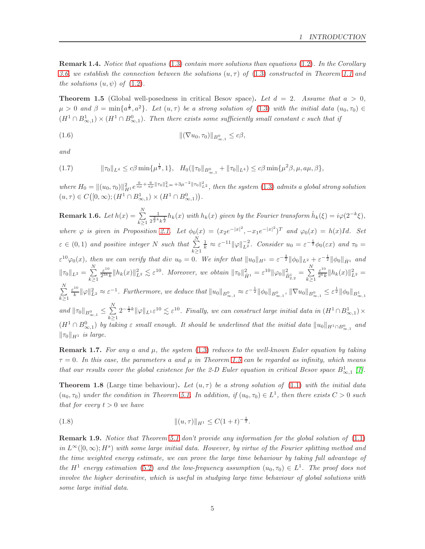Remark 1.4. Notice that equations [\(1.3\)](#page-2-3) contain more solutions than equations [\(1.2\)](#page-1-2). In the Corollary [3.6,](#page-15-1) we establish the connection between the solutions  $(u, \tau)$  of  $(1.3)$  constructed in Theorem [1.1](#page-3-0) and the solutions  $(u, \psi)$  of  $(1.2)$ .

<span id="page-4-0"></span>**Theorem 1.5** (Global well-posedness in critical Besov space). Let  $d = 2$ . Assume that  $a > 0$ ,  $\mu > 0$  and  $\beta = \min\{a^{\frac{1}{8}}, a^2\}$ . Let  $(u, \tau)$  be a strong solution of [\(1.3\)](#page-2-3) with the initial data  $(u_0, \tau_0) \in$  $(H<sup>1</sup> \cap B<sup>1</sup><sub>\infty,1</sub>) \times (H<sup>1</sup> \cap B<sup>0</sup><sub>\infty,1</sub>)$ . Then there exists some sufficiently small constant c such that if

<span id="page-4-2"></span>(1.6) 
$$
\|(\nabla u_0, \tau_0)\|_{B^0_{\infty, 1}} \leq c\beta,
$$

and

<span id="page-4-3"></span>kτ0kL<sup>4</sup> ≤ cβ min{µ 1 <sup>2</sup> , 1}, H0(kτ0kB0∞,<sup>1</sup> + kτ0kL<sup>4</sup> ) ≤ cβ min{µ 2 (1.7) β, µ, aµ, β},

where  $H_0 = \|(u_0, \tau_0)\|_{H^1}^2 e^{\frac{6}{a\mu} + \frac{6}{a\mu} \|\tau_0\|_{L^\infty}^2 + 3\mu^{-2} \|\tau_0\|_{L^2}^2}$ , then the system [\(1.3\)](#page-2-3) admits a global strong solution  $(u,\tau)\in C\big([0,\infty);(H^1\cap B^1_{\infty,1})\times (H^1\cap B^0_{\infty,1})\big).$ 

**Remark 1.6.** Let  $h(x) = \sum_{n=1}^{N} \frac{1}{x^{2n}}$  $k \geq 1$  $\frac{1}{2^{\frac{3}{2}k}k^{\frac{1}{2}}}h_k(x)$  with  $h_k(x)$  given by the Fourier transform  $\hat{h}_k(\xi) = i\varphi(2^{-k}\xi)$ , where  $\varphi$  is given in Proposition [2.1.](#page-5-1) Let  $\phi_0(x) = (x_2 e^{-|x|^2}, -x_1 e^{-|x|^2})^T$  and  $\varphi_0(x) = h(x)Id$ . Set  $\varepsilon \in (0,1)$  and positive integer N such that  $\sum_{k=1}^{N} \frac{1}{k} \approx \varepsilon^{-1} ||\varphi||_{L^2}^{-2}$ . Consider  $u_0 = \varepsilon^{-\frac{1}{2}} \phi_0(\varepsilon x)$  and  $\tau_0 =$  $k \geq 1$  $\varepsilon^{10}\varphi_0(x)$ , then we can verify that div  $u_0 = 0$ . We infer that  $||u_0||_{H^1} = \varepsilon^{-\frac{3}{2}} ||\phi_0||_{L^2} + \varepsilon^{-\frac{1}{2}} ||\phi_0||_{\dot{H}^1}$  and  $\|\tau_0\|_{L^2} = \sum_{i=1}^{N}$  $k\geq 1$  $\varepsilon^{10}$  $\frac{\varepsilon^{10}}{2^{3k}k} \|h_k(x)\|_{L^2}^2 \lesssim \varepsilon^{10}$ . Moreover, we obtain  $\|\tau_0\|_{\dot{H}^1}^2 = \varepsilon^{10} \|\varphi_0\|_{\dot{B}_{2,2}^1}^2 = \sum_{k>1}^N$  $k\geq 1$  $\varepsilon^{10}$  $\frac{\varepsilon^{10}}{2^k k} \|h_k(x)\|_{L^2}^2 =$  $\sum_{i=1}^{N}$  $k\geq 1$  $\varepsilon^{10}$  $\frac{d}{d\kappa} \|\varphi\|_{L^2}^2 \approx \varepsilon^{-1}$ . Furthermore, we deduce that  $\|u_0\|_{B^0_{\infty,1}} \approx \varepsilon^{-\frac{1}{2}} \|\phi_0\|_{B^0_{\infty,1}}$ ,  $\|\nabla u_0\|_{B^0_{\infty,1}} \leq \varepsilon^{\frac{1}{2}} \|\phi_0\|_{B^1_{\infty,1}}$ and  $\|\tau_0\|_{B^0_{\infty,1}} \leq \sum_{k=1}^N$  $k \geq 1$  $2^{-\frac{1}{2}k}\|\varphi\|_{L^1}\varepsilon^{10}\lesssim \varepsilon^{10}$ . Finally, we can construct large initial data in  $(H^1\cap B^1_{\infty,1})\times$  $(H<sup>1</sup> ∩ B<sup>0</sup><sub>∞,1</sub>)$  by taking  $\varepsilon$  small enough. It should be underlined that the initial data  $||u_0||_{H<sup>1</sup> ∩ B<sup>0</sup><sub>∞,1</sub>}$  and  $\|\tau_0\|_{H^1}$  is large.

**Remark 1.7.** For any a and  $\mu$ , the system [\(1.3\)](#page-2-3) reduces to the well-known Euler equation by taking  $\tau = 0$ . In this case, the parameters a and  $\mu$  in Theorem [1.5](#page-4-0) can be regarded as infinity, which means that our results cover the global existence for the 2-D Euler equation in critical Besov space  $B_{\infty,1}^1$  [\[1\]](#page-29-13).

<span id="page-4-1"></span>**Theorem 1.8** (Large time behaviour). Let  $(u, \tau)$  be a strong solution of [\(1.1\)](#page-1-1) with the initial data  $(u_0, \tau_0)$  under the condition in Theorem [5.1.](#page-26-1) In addition, if  $(u_0, \tau_0) \in L^1$ , then there exists  $C > 0$  such that for every  $t > 0$  we have

(1.8) 
$$
\|(u,\tau)\|_{H^1} \leq C(1+t)^{-\frac{1}{2}}.
$$

Remark 1.9. Notice that Theorem [5.1](#page-26-1) don't provide any information for the global solution of  $(1.1)$ in  $L^{\infty}([0,\infty); H^s)$  with some large initial data. However, by virtue of the Fourier splitting method and the time weighted energy estimate, we can prove the large time behaviour by taking full advantage of the  $H^1$  energy estimation [\(5.2\)](#page-26-2) and the low-frequency assumption  $(u_0, \tau_0) \in L^1$ . The proof does not involve the higher derivative, which is useful in studying large time behaviour of global solutions with some large initial data.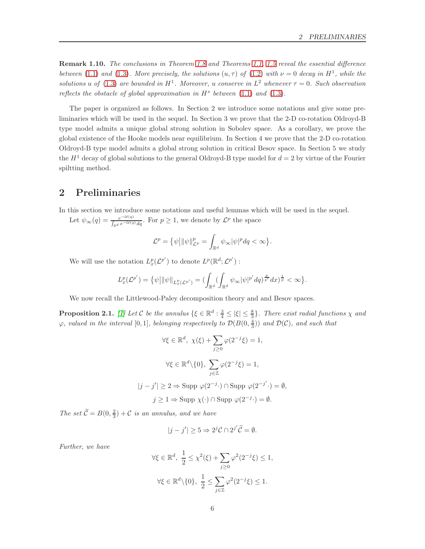Remark 1.10. The conclusions in Theorem [1.8](#page-4-1) and Theorems [1.1,](#page-3-0) [1.5](#page-4-0) reveal the essential difference between [\(1.1\)](#page-1-1) and [\(1.3\)](#page-2-3). More precisely, the solutions  $(u, \tau)$  of [\(1.2\)](#page-1-2) with  $\nu = 0$  decay in  $H^1$ , while the solutions u of [\(1.3\)](#page-2-3) are bounded in  $H^1$ . Moreover, u conserve in  $L^2$  whenever  $\tau = 0$ . Such observation reflects the obstacle of global approximation in  $H^s$  between [\(1.1\)](#page-1-1) and [\(1.3\)](#page-2-3).

The paper is organized as follows. In Section 2 we introduce some notations and give some preliminaries which will be used in the sequel. In Section 3 we prove that the 2-D co-rotation Oldroyd-B type model admits a unique global strong solution in Sobolev space. As a corollary, we prove the global existence of the Hooke models near equilibrium. In Section 4 we prove that the 2-D co-rotation Oldroyd-B type model admits a global strong solution in critical Besov space. In Section 5 we study the  $H<sup>1</sup>$  decay of global solutions to the general Oldroyd-B type model for  $d = 2$  by virtue of the Fourier spiltting method.

### <span id="page-5-0"></span>2 Preliminaries

In this section we introduce some notations and useful lemmas which will be used in the sequel.

Let  $\psi_{\infty}(q) = \frac{e^{-\mathcal{U}(q)}}{\int_{\mathcal{A}} e^{-\mathcal{U}(q)}}$  $\frac{e^{-\mathcal{U}(q)}}{\int_{\mathbb{R}^d} e^{-\mathcal{U}(q)} dq}$ . For  $p \geq 1$ , we denote by  $\mathcal{L}^p$  the space

$$
\mathcal{L}^p = \{ \psi \big| ||\psi||^p_{\mathcal{L}^p} = \int_{\mathbb{R}^d} \psi_\infty |\psi|^p dq < \infty \}.
$$

We will use the notation  $L_x^p(\mathcal{L}^{p'})$  to denote  $L^p(\mathbb{R}^d; \mathcal{L}^{p'})$ :

$$
L_x^p(\mathcal{L}^{p'}) = \{ \psi \, \big| \, \|\psi\|_{L_x^p(\mathcal{L}^{p'})} = (\int_{\mathbb{R}^d} (\int_{\mathbb{R}^d} \psi_\infty |\psi|^{p'} dq)^{\frac{p}{p'}} dx)^{\frac{1}{p}} < \infty \}.
$$

We now recall the Littlewood-Paley decomposition theory and and Besov spaces.

<span id="page-5-1"></span>**Proposition 2.1.** [\[1\]](#page-29-13) Let C be the annulus  $\{\xi \in \mathbb{R}^d : \frac{3}{4} \leq |\xi| \leq \frac{8}{3}\}$ . There exist radial functions  $\chi$  and  $\varphi$ , valued in the interval  $[0,1]$ , belonging respectively to  $\mathcal{D}(B(0,\frac{4}{3}))$  and  $\mathcal{D}(\mathcal{C})$ , and such that

$$
\forall \xi \in \mathbb{R}^d, \ \chi(\xi) + \sum_{j\geq 0} \varphi(2^{-j}\xi) = 1,
$$

$$
\forall \xi \in \mathbb{R}^d \setminus \{0\}, \ \sum_{j\in \mathbb{Z}} \varphi(2^{-j}\xi) = 1,
$$

$$
|j - j'| \geq 2 \Rightarrow \text{Supp } \varphi(2^{-j} \cdot) \cap \text{Supp } \varphi(2^{-j'} \cdot) = \emptyset,
$$

$$
j \geq 1 \Rightarrow \text{Supp } \chi(\cdot) \cap \text{Supp } \varphi(2^{-j} \cdot) = \emptyset.
$$

The set  $\widetilde{C} = B(0, \frac{2}{3}) + C$  is an annulus, and we have

$$
|j - j'| \ge 5 \Rightarrow 2^{j}C \cap 2^{j'}\widetilde{C} = \emptyset.
$$

Further, we have

$$
\forall \xi \in \mathbb{R}^d, \ \frac{1}{2} \le \chi^2(\xi) + \sum_{j \ge 0} \varphi^2(2^{-j}\xi) \le 1,
$$
  

$$
\forall \xi \in \mathbb{R}^d \setminus \{0\}, \ \frac{1}{2} \le \sum_{j \in \mathbb{Z}} \varphi^2(2^{-j}\xi) \le 1.
$$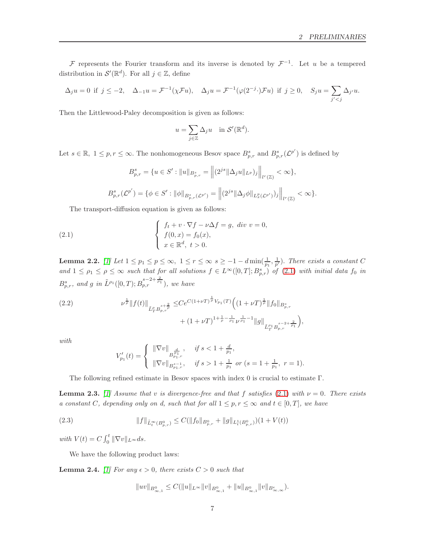F represents the Fourier transform and its inverse is denoted by  $\mathcal{F}^{-1}$ . Let u be a tempered distribution in  $\mathcal{S}'(\mathbb{R}^d)$ . For all  $j \in \mathbb{Z}$ , define

$$
\Delta_j u=0 \ \ \text{if} \ \ j\leq -2, \quad \Delta_{-1} u=\mathcal{F}^{-1}(\chi \mathcal{F} u), \quad \Delta_j u=\mathcal{F}^{-1}(\varphi(2^{-j}\cdot)\mathcal{F} u) \ \ \text{if} \ \ j\geq 0, \quad S_j u=\sum_{j'
$$

Then the Littlewood-Paley decomposition is given as follows:

$$
u = \sum_{j \in \mathbb{Z}} \Delta_j u \quad \text{in } \mathcal{S}'(\mathbb{R}^d).
$$

Let  $s \in \mathbb{R}, 1 \leq p, r \leq \infty$ . The nonhomogeneous Besov space  $B_{p,r}^s$  and  $B_{p,r}^s(\mathcal{L}^{p'})$  is defined by

<span id="page-6-0"></span>
$$
B_{p,r}^s = \{ u \in S' : ||u||_{B_{p,r}^s} = \left\| (2^{js} \|\Delta_j u\|_{L^p})_j \right\|_{l^r(\mathbb{Z})} < \infty \},
$$
  

$$
B_{p,r}^s(\mathcal{L}^{p'}) = \{ \phi \in S' : ||\phi||_{B_{p,r}^s(\mathcal{L}^{p'})} = \left\| (2^{js} \|\Delta_j \phi\|_{L_x^p(\mathcal{L}^{p'})})_j \right\|_{l^r(\mathbb{Z})} < \infty \}.
$$

The transport-diffusion equation is given as follows:

(2.1) 
$$
\begin{cases} f_t + v \cdot \nabla f - \nu \Delta f = g, \ div \ v = 0, \\ f(0, x) = f_0(x), \\ x \in \mathbb{R}^d, \ t > 0. \end{cases}
$$

<span id="page-6-2"></span>**Lemma 2.2.** [\[1\]](#page-29-13) Let  $1 \leq p_1 \leq p \leq \infty$ ,  $1 \leq r \leq \infty$   $s \geq -1-d \min(\frac{1}{p_1}, \frac{1}{p'})$ . There exists a constant C and  $1 \leq \rho_1 \leq \rho \leq \infty$  such that for all solutions  $f \in L^{\infty}([0,T];B_{p,r}^s)$  of  $(2.1)$  with initial data fo in  $B^s_{p,r}$ , and g in  $\tilde{L}^{\rho_1}([0,T); B^{s-2+\frac{2}{\rho_1}}_{p,r})$ , we have

(2.2) 
$$
\nu^{\frac{1}{\rho}} \|f(t)\|_{\tilde{L}_T^{\rho} B_{p,r}^{s+\frac{2}{\rho}}} \leq C e^{C(1+\nu T)^{\frac{1}{\rho}}V_{p_1}(T)} \Big( (1+\nu T)^{\frac{1}{\rho}} \|f_0\|_{B_{p,r}^s} + (1+\nu T)^{1+\frac{1}{\rho}-\frac{1}{\rho_1}} \nu^{\frac{1}{\rho_1}-1} \|g\|_{\tilde{L}_T^{\rho_1} B_{p,r}^{s-2+\frac{2}{\rho_1}}}\Big),
$$

with

$$
V'_{p_1}(t) = \left\{ \begin{array}{l} \|\nabla v\|_{B^{\frac{d}{p_1}}, \quad \textit{if } s < 1 + \frac{d}{p_1}, \\ \|\nabla v\|_{B^{s-1}_{p_1,r}}, \quad \textit{if } s > 1 + \frac{1}{p_1} \textit{ or } (s = 1 + \frac{1}{p_1}, \ r = 1). \end{array} \right.
$$

The following refined estimate in Besov spaces with index 0 is crucial to estimate Γ.

**Lemma 2.3.** [\[1\]](#page-29-13) Assume that v is divergence-free and that f satisfies [\(2.1\)](#page-6-0) with  $\nu = 0$ . There exists a constant C, depending only on d, such that for all  $1 \leq p, r \leq \infty$  and  $t \in [0, T]$ , we have

<span id="page-6-3"></span>(2.3) 
$$
||f||_{\tilde{L}^{\infty}_{t}(B_{p,r}^{0})} \leq C(||f_{0}||_{B_{p,r}^{0}} + ||g||_{L^{1}_{t}(B_{p,r}^{0})})(1 + V(t))
$$

with  $V(t) = C \int_0^t ||\nabla v||_{L^\infty} ds.$ 

We have the following product laws:

<span id="page-6-1"></span>**Lemma 2.4.** [\[1\]](#page-29-13) For any  $\epsilon > 0$ , there exists  $C > 0$  such that

$$
||uv||_{B^0_{\infty,1}} \leq C(||u||_{L^{\infty}}||v||_{B^0_{\infty,1}} + ||u||_{B^0_{\infty,1}}||v||_{B^{\epsilon}_{\infty,\infty}}).
$$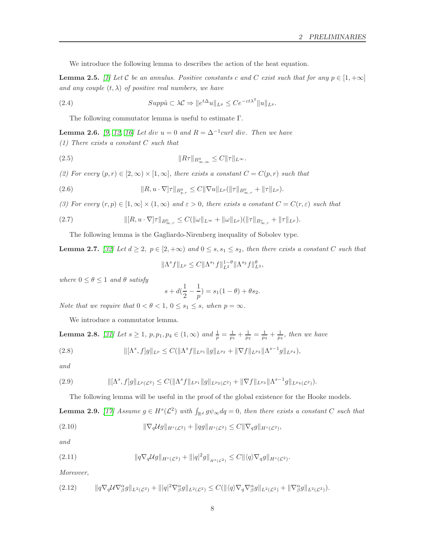We introduce the following lemma to describes the action of the heat equation.

<span id="page-7-4"></span>**Lemma 2.5.** [\[1\]](#page-29-13) Let C be an annulus. Positive constants c and C exist such that for any  $p \in [1, +\infty]$ and any couple  $(t, \lambda)$  of positive real numbers, we have

(2.4) 
$$
Supp\hat{u} \subset \lambda \mathcal{C} \Rightarrow \|e^{t\Delta}u\|_{L^p} \le Ce^{-ct\lambda^2} \|u\|_{L^p}.
$$

The following commutator lemma is useful to estimate Γ.

<span id="page-7-2"></span>**Lemma 2.6.** [\[9,](#page-29-0) [12,](#page-29-14) [16\]](#page-30-13) Let div  $u = 0$  and  $R = \Delta^{-1}$ curl div. Then we have (1) There exists a constant C such that

kRτkB<sup>0</sup> (2.5) <sup>∞</sup>,<sup>∞</sup> ≤ CkτkL<sup>∞</sup>.

(2) For every  $(p, r) \in [2, \infty) \times [1, \infty]$ , there exists a constant  $C = C(p, r)$  such that

(2.6) 
$$
||R, u \cdot \nabla] \tau ||_{B^0_{p,r}} \leq C ||\nabla u||_{L^p} (||\tau||_{B^0_{\infty,r}} + ||\tau||_{L^p}).
$$

(3) For every  $(r, p) \in [1, \infty) \times (1, \infty)$  and  $\varepsilon > 0$ , there exists a constant  $C = C(r, \varepsilon)$  such that

(2.7) 
$$
\| [R, u \cdot \nabla] \tau \|_{B^0_{\infty, r}} \leq C (\|\omega\|_{L^\infty} + \|\omega\|_{L^p}) (\|\tau\|_{B^{\varepsilon}_{\infty, r}} + \|\tau\|_{L^p}).
$$

The following lemma is the Gagliardo-Nirenberg inequality of Sobolev type.

<span id="page-7-0"></span>**Lemma 2.7.** [\[32\]](#page-30-14) Let  $d \geq 2$ ,  $p \in [2, +\infty)$  and  $0 \leq s$ ,  $s_1 \leq s_2$ , then there exists a constant C such that  $\|\Lambda^s f\|_{L^p} \leq C \|\Lambda^{s_1} f\|_{L^2}^{1-\theta} \|\Lambda^{s_2} f\|_{L^2}^{\theta},$ 

where  $0 \le \theta \le 1$  and  $\theta$  satisfy

$$
s + d(\frac{1}{2} - \frac{1}{p}) = s_1(1 - \theta) + \theta s_2.
$$

Note that we require that  $0 < \theta < 1, 0 \le s_1 \le s$ , when  $p = \infty$ .

We introduce a commutator lemma.

<span id="page-7-1"></span>**Lemma 2.8.** [\[31\]](#page-30-15) Let  $s \ge 1$ ,  $p, p_1, p_4 \in (1, \infty)$  and  $\frac{1}{p} = \frac{1}{p_1} + \frac{1}{p_2} = \frac{1}{p_3} + \frac{1}{p_4}$ , then we have

(2.8) 
$$
\|[\Lambda^s, f]g\|_{L^p} \leq C(\|\Lambda^s f\|_{L^{p_1}} \|g\|_{L^{p_2}} + \|\nabla f\|_{L^{p_3}} \|\Lambda^{s-1} g\|_{L^{p_4}}),
$$

and

k[Λ<sup>s</sup> , f]gkLp(L2) ≤ C(kΛ s fkLp<sup>1</sup> kgkLp2(L2) + k∇fkLp<sup>3</sup> kΛ s−1 gkLp4(L<sup>2</sup> (2.9) )).

The following lemma will be useful in the proof of the global existence for the Hooke models.

<span id="page-7-3"></span>**Lemma 2.9.** [\[17\]](#page-30-16) Assume  $g \in H^s(\mathcal{L}^2)$  with  $\int_{\mathbb{R}^d} g\psi_\infty dq = 0$ , then there exists a constant C such that

(2.10) 
$$
\|\nabla_q \mathcal{U}g\|_{H^s(\mathcal{L}^2)} + \|qg\|_{H^s(\mathcal{L}^2)} \leq C \|\nabla_q g\|_{H^s(\mathcal{L}^2)},
$$

and

(2.11) 
$$
\|q\nabla_q \mathcal{U}g\|_{H^s(\mathcal{L}^2)} + \| |q|^2 g\|_{H^s(\mathcal{L}^2)} \leq C \| \langle q \rangle \nabla_q g\|_{H^s(\mathcal{L}^2)}.
$$

Moreover,

$$
(2.12) \t\t ||q\nabla_q U \nabla_\beta^{\alpha} g||_{L^2(\mathcal{L}^2)} + ||q|^2 \nabla_\beta^{\alpha} g||_{L^2(\mathcal{L}^2)} \leq C(||\langle q \rangle \nabla_q \nabla_\beta^{\alpha} g||_{L^2(\mathcal{L}^2)} + ||\nabla_\beta^{\alpha} g||_{L^2(\mathcal{L}^2)}).
$$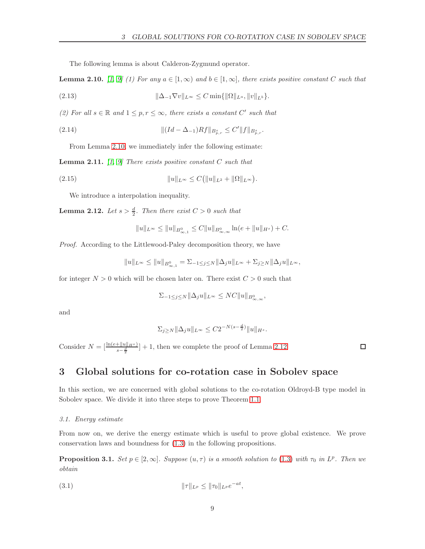The following lemma is about Calderon-Zygmund operator.

<span id="page-8-2"></span>**Lemma 2.10.** [\[1,](#page-29-13) [9\]](#page-29-0) (1) For any  $a \in [1,\infty)$  and  $b \in [1,\infty]$ , there exists positive constant C such that

(2.13) 
$$
\|\Delta_{-1}\nabla v\|_{L^{\infty}} \leq C \min\{\|\Omega\|_{L^{a}},\|v\|_{L^{b}}\}.
$$

(2) For all  $s \in \mathbb{R}$  and  $1 \leq p, r \leq \infty$ , there exists a constant C' such that

(2.14) 
$$
\| (Id - \Delta_{-1}) Rf \|_{B^s_{p,r}} \le C' \| f \|_{B^s_{p,r}}.
$$

From Lemma [2.10,](#page-8-2) we immediately infer the following estimate:

<span id="page-8-5"></span>**Lemma 2.11.** [\[1,](#page-29-13) [9\]](#page-29-0) There exists positive constant  $C$  such that

(2.15) 
$$
||u||_{L^{\infty}} \leq C(||u||_{L^{2}} + ||\Omega||_{L^{\infty}}).
$$

We introduce a interpolation inequality.

<span id="page-8-3"></span>**Lemma 2.12.** Let  $s > \frac{d}{2}$ . Then there exist  $C > 0$  such that

$$
||u||_{L^{\infty}} \le ||u||_{B^{0}_{\infty,1}} \le C||u||_{B^{0}_{\infty,\infty}} \ln(e+||u||_{H^{s}}) + C.
$$

Proof. According to the Littlewood-Paley decomposition theory, we have

$$
||u||_{L^{\infty}} \le ||u||_{B^{0}_{\infty,1}} = \sum_{-1 \le j \le N} ||\Delta_{j}u||_{L^{\infty}} + \sum_{j \ge N} ||\Delta_{j}u||_{L^{\infty}},
$$

for integer  $N > 0$  which will be chosen later on. There exist  $C > 0$  such that

$$
\Sigma_{-1 \le j \le N} \|\Delta_j u\|_{L^\infty} \le NC \|u\|_{B^0_{\infty,\infty}},
$$

and

$$
\Sigma_{j\geq N} \|\Delta_j u\|_{L^\infty} \leq C 2^{-N(s-\frac{d}{2})} \|u\|_{H^s}.
$$

Consider  $N = \left[\frac{\ln(e + ||u||_{H^s})}{s - \frac{d}{2}}\right] + 1$ , then we complete the proof of Lemma [2.12.](#page-8-3)

 $\Box$ 

## <span id="page-8-0"></span>3 Global solutions for co-rotation case in Sobolev space

In this section, we are concerned with global solutions to the co-rotation Oldroyd-B type model in Sobolev space. We divide it into three steps to prove Theorem [1.1.](#page-3-0)

#### <span id="page-8-1"></span>3.1. Energy estimate

From now on, we derive the energy estimate which is useful to prove global existence. We prove conservation laws and boundness for [\(1.3\)](#page-2-3) in the following propositions.

<span id="page-8-4"></span>**Proposition 3.1.** Set  $p \in [2,\infty]$ . Suppose  $(u,\tau)$  is a smooth solution to (1.[3\)](#page-2-3) with  $\tau_0$  in  $L^p$ . Then we obtain

(3.1) 
$$
\|\tau\|_{L^p} \le \|\tau_0\|_{L^p} e^{-at},
$$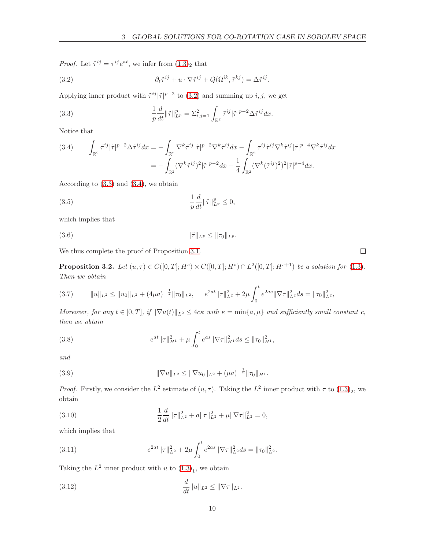*Proof.* Let  $\tilde{\tau}^{ij} = \tau^{ij} e^{at}$ , we infer from  $(1.3)_2$  $(1.3)_2$  $(1.3)_2$  that

<span id="page-9-0"></span>(3.2) 
$$
\partial_t \tilde{\tau}^{ij} + u \cdot \nabla \tilde{\tau}^{ij} + Q(\Omega^{ik}, \tilde{\tau}^{kj}) = \Delta \tilde{\tau}^{ij}.
$$

Applying inner product with  $\tilde{\tau}^{ij}|\tilde{\tau}|^{p-2}$  to [\(3.2\)](#page-9-0) and summing up i, j, we get

<span id="page-9-1"></span>(3.3) 
$$
\frac{1}{p} \frac{d}{dt} ||\tilde{\tau}||_{L^p}^p = \Sigma_{i,j=1}^2 \int_{\mathbb{R}^2} \tilde{\tau}^{ij} |\tilde{\tau}|^{p-2} \Delta \tilde{\tau}^{ij} dx.
$$

Notice that

<span id="page-9-2"></span>(3.4) 
$$
\int_{\mathbb{R}^2} \tilde{\tau}^{ij} |\tilde{\tau}|^{p-2} \Delta \tilde{\tau}^{ij} dx = - \int_{\mathbb{R}^2} \nabla^k \tilde{\tau}^{ij} |\tilde{\tau}|^{p-2} \nabla^k \tilde{\tau}^{ij} dx - \int_{\mathbb{R}^2} \tau^{ij} \tilde{\tau}^{ij} \nabla^k \tilde{\tau}^{ij} |\tilde{\tau}|^{p-4} \nabla^k \tilde{\tau}^{ij} dx
$$

$$
= - \int_{\mathbb{R}^2} (\nabla^k \tilde{\tau}^{ij})^2 |\tilde{\tau}|^{p-2} dx - \frac{1}{4} \int_{\mathbb{R}^2} (\nabla^k (\tilde{\tau}^{ij})^2)^2 |\tilde{\tau}|^{p-4} dx.
$$

According to [\(3.3\)](#page-9-1) and [\(3.4\)](#page-9-2), we obtain

$$
\frac{1}{p}\frac{d}{dt}\|\tilde{\tau}\|_{L^p}^p \le 0,
$$

which implies that

(3.6) 
$$
\|\tilde{\tau}\|_{L^p} \le \|\tau_0\|_{L^p}.
$$

We thus complete the proof of Proposition [3.1.](#page-8-4)

<span id="page-9-6"></span>**Proposition 3.2.** Let  $(u, \tau) \in C([0, T]; H^s) \times C([0, T]; H^s) \cap L^2([0, T]; H^{s+1})$  be a solution for  $(1.3)$ . Then we obtain

<span id="page-9-7"></span>
$$
(3.7) \t\t ||u||_{L^{2}} \leq ||u_{0}||_{L^{2}} + (4\mu a)^{-\frac{1}{2}} ||\tau_{0}||_{L^{2}}, \t e^{2at} ||\tau||_{L^{2}}^{2} + 2\mu \int_{0}^{t} e^{2as} ||\nabla \tau||_{L^{2}}^{2} ds = ||\tau_{0}||_{L^{2}}^{2},
$$

Moreover, for any  $t \in [0, T]$ , if  $\|\nabla u(t)\|_{L^2} \leq 4c\kappa$  with  $\kappa = \min\{a, \mu\}$  and sufficiently small constant c, then we obtain

(3.8) 
$$
e^{at} \|\tau\|_{H^1}^2 + \mu \int_0^t e^{as} \|\nabla \tau\|_{H^1}^2 ds \le \|\tau_0\|_{H^1}^2,
$$

and

(3.9) 
$$
\|\nabla u\|_{L^2} \le \|\nabla u_0\|_{L^2} + (\mu a)^{-\frac{1}{2}} \|\tau_0\|_{H^1}.
$$

*Proof.* Firstly, we consider the  $L^2$  estimate of  $(u, \tau)$ . Taking the  $L^2$  inner product with  $\tau$  to  $(1.3)_2$ , we obtain

<span id="page-9-4"></span>(3.10) 
$$
\frac{1}{2}\frac{d}{dt}\|\tau\|_{L^2}^2 + a\|\tau\|_{L^2}^2 + \mu\|\nabla\tau\|_{L^2}^2 = 0,
$$

which implies that

<span id="page-9-5"></span>(3.11) 
$$
e^{2at} \|\tau\|_{L^2}^2 + 2\mu \int_0^t e^{2as} \|\nabla \tau\|_{L^2}^2 ds = \|\tau_0\|_{L^2}^2.
$$

Taking the  $L^2$  inner product with u to  $(1.3)_1$ , we obtain

<span id="page-9-3"></span>(3.12) 
$$
\frac{d}{dt} ||u||_{L^2} \le ||\nabla \tau||_{L^2}.
$$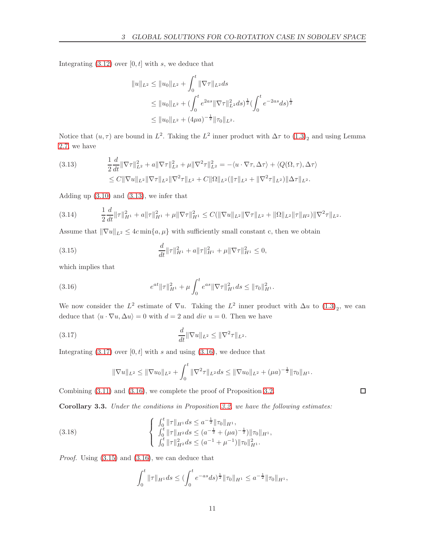Integrating  $(3.12)$  over  $[0, t]$  with s, we deduce that

$$
||u||_{L^2} \le ||u_0||_{L^2} + \int_0^t ||\nabla \tau||_{L^2} ds
$$
  
\n
$$
\le ||u_0||_{L^2} + (\int_0^t e^{2as} ||\nabla \tau||_{L^2}^2 ds)^{\frac{1}{2}} (\int_0^t e^{-2as} ds)^{\frac{1}{2}}
$$
  
\n
$$
\le ||u_0||_{L^2} + (4\mu a)^{-\frac{1}{2}} ||\tau_0||_{L^2}.
$$

Notice that  $(u, \tau)$  are bound in  $L^2$ . Taking the  $L^2$  inner product with  $\Delta \tau$  to  $(1.3)_2$  and using Lemma [2.7,](#page-7-0) we have

<span id="page-10-0"></span>(3.13) 
$$
\frac{1}{2}\frac{d}{dt}\|\nabla\tau\|_{L^2}^2 + a\|\nabla\tau\|_{L^2}^2 + \mu\|\nabla^2\tau\|_{L^2}^2 = -\langle u \cdot \nabla\tau, \Delta\tau \rangle + \langle Q(\Omega, \tau), \Delta\tau \rangle
$$

$$
\leq C\|\nabla u\|_{L^2}\|\nabla\tau\|_{L^2}\|\nabla^2\tau\|_{L^2} + C\|\Omega\|_{L^2}(\|\tau\|_{L^2} + \|\nabla^2\tau\|_{L^2})\|\Delta\tau\|_{L^2}.
$$

Adding up [\(3.10\)](#page-9-4) and [\(3.13\)](#page-10-0), we infer that

$$
(3.14) \qquad \frac{1}{2}\frac{d}{dt}\|\tau\|_{H^1}^2 + a\|\tau\|_{H^1}^2 + \mu\|\nabla\tau\|_{H^1}^2 \leq C(\|\nabla u\|_{L^2}\|\nabla\tau\|_{L^2} + \|\Omega\|_{L^2}\|\tau\|_{H^2})\|\nabla^2\tau\|_{L^2}.
$$

Assume that  $\|\nabla u\|_{L^2} \leq 4c \min\{a, \mu\}$  with sufficiently small constant c, then we obtain

<span id="page-10-3"></span>(3.15) 
$$
\frac{d}{dt} \|\tau\|_{H^1}^2 + a \|\tau\|_{H^1}^2 + \mu \|\nabla \tau\|_{H^1}^2 \leq 0,
$$

which implies that

<span id="page-10-2"></span>(3.16) 
$$
e^{at} \|\tau\|_{H^1}^2 + \mu \int_0^t e^{as} \|\nabla \tau\|_{H^1}^2 ds \le \|\tau_0\|_{H^1}^2.
$$

We now consider the  $L^2$  estimate of  $\nabla u$ . Taking the  $L^2$  inner product with  $\Delta u$  to  $(1.3)_2$ , we can deduce that  $\langle u \cdot \nabla u, \Delta u \rangle = 0$  with  $d = 2$  and div  $u = 0$ . Then we have

<span id="page-10-1"></span>(3.17) 
$$
\frac{d}{dt} \|\nabla u\|_{L^2} \le \|\nabla^2 \tau\|_{L^2}.
$$

Integrating  $(3.17)$  over  $[0, t]$  with s and using  $(3.16)$ , we deduce that

$$
\|\nabla u\|_{L^2}\leq \|\nabla u_0\|_{L^2}+\int_0^t \|\nabla^2 \tau\|_{L^2}ds\leq \|\nabla u_0\|_{L^2}+(\mu a)^{-\frac{1}{2}}\|\tau_0\|_{H^1}.
$$

Combining [\(3.11\)](#page-9-5) and [\(3.16\)](#page-10-2), we complete the proof of Proposition [3.2.](#page-9-6)

<span id="page-10-4"></span>Corollary 3.3. Under the conditions in Proposition [3.2,](#page-9-6) we have the following estimates:

(3.18) 
$$
\begin{cases} \n\int_0^t \|\tau\|_{H^1} ds \le a^{-\frac{1}{2}} \|\tau_0\|_{H^1},\\ \n\int_0^t \|\tau\|_{H^2} ds \le (a^{-\frac{1}{2}} + (\mu a)^{-\frac{1}{2}}) \|\tau_0\|_{H^1},\\ \n\int_0^t \|\tau\|_{H^2}^2 ds \le (a^{-1} + \mu^{-1}) \|\tau_0\|_{H^1}^2.\n\end{cases}
$$

Proof. Using [\(3.15\)](#page-10-3) and [\(3.16\)](#page-10-2), we can deduce that

$$
\int_0^t \|\tau\|_{H^1} ds \le (\int_0^t e^{-as} ds)^{\frac{1}{2}} \|\tau_0\|_{H^1} \le a^{-\frac{1}{2}} \|\tau_0\|_{H^1},
$$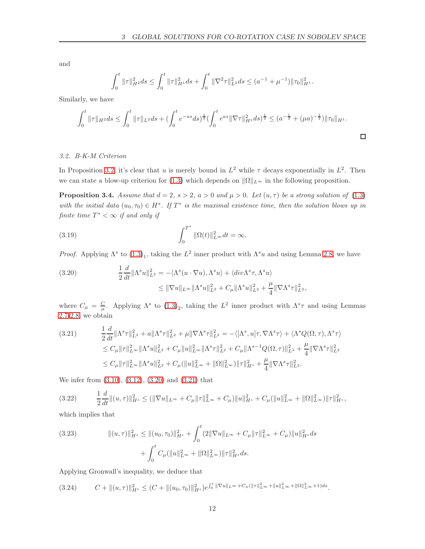and

$$
\int_0^t \|\tau\|_{H^2}^2 ds \le \int_0^t \|\tau\|_{H^1}^2 ds + \int_0^t \|\nabla^2 \tau\|_{L^2}^2 ds \le (a^{-1} + \mu^{-1}) \|\tau_0\|_{H^1}^2.
$$

Similarly, we have

$$
\int_0^t \|\tau\|_{H^2} ds \le \int_0^t \|\tau\|_{L^2} ds + \left(\int_0^t e^{-as} ds\right)^{\frac{1}{2}} \left(\int_0^t e^{as} \|\nabla \tau\|_{H^1}^2 ds\right)^{\frac{1}{2}} \le (a^{-\frac{1}{2}} + (\mu a)^{-\frac{1}{2}}) \|\tau_0\|_{H^1}.
$$

#### <span id="page-11-0"></span>3.2. B-K-M Criterion

In Proposition [3.2,](#page-9-6) it's clear that u is merely bound in  $L^2$  while  $\tau$  decays exponentially in  $L^2$ . Then we can state a blow-up criterion for [\(1.3\)](#page-2-3) which depends on  $\|\Omega\|_{L^{\infty}}$  in the following proposition.

<span id="page-11-4"></span>**Proposition 3.4.** Assume that  $d = 2$ ,  $s > 2$ ,  $a > 0$  and  $\mu > 0$ . Let  $(u, \tau)$  be a strong solution of [\(1.3\)](#page-2-3) with the initial data  $(u_0, \tau_0) \in H^s$ . If  $T^*$  is the maximal existence time, then the solution blows up in finite time  $T^* < \infty$  if and only if

(3.19) 
$$
\int_0^{T^*} \|\Omega(t)\|_{L^\infty}^2 dt = \infty.
$$

*Proof.* Applying  $\Lambda^s$  to  $(1.3)_1$ , taking the  $L^2$  inner product with  $\Lambda^s u$  and using Lemma [2.8,](#page-7-1) we have

<span id="page-11-1"></span>(3.20) 
$$
\frac{1}{2} \frac{d}{dt} ||\Lambda^s u||_{L^2}^2 = -\langle \Lambda^s (u \cdot \nabla u), \Lambda^s u \rangle + \langle div \Lambda^s \tau, \Lambda^s u \rangle
$$

$$
\leq ||\nabla u||_{L^\infty} ||\Lambda^s u||_{L^2}^2 + C_\mu ||\Lambda^s u||_{L^2}^2 + \frac{\mu}{4} ||\nabla \Lambda^s \tau||_{L^2}^2,
$$

where  $C_{\mu} = \frac{C}{\mu}$ . Applying  $\Lambda^s$  to  $(1.3)_2$ , taking the  $L^2$  inner product with  $\Lambda^s \tau$  and using Lemmas [2.7-](#page-7-0)[2.8,](#page-7-1) we obtain

<span id="page-11-2"></span>
$$
(3.21) \qquad \frac{1}{2}\frac{d}{dt}\|\Lambda^s\tau\|_{L^2}^2 + a\|\Lambda^s\tau\|_{L^2}^2 + \mu\|\nabla\Lambda^s\tau\|_{L^2}^2 = -\langle[\Lambda^s, u]\tau, \nabla\Lambda^s\tau\rangle + \langle\Lambda^s Q(\Omega, \tau), \Lambda^s\tau\rangle
$$
  
\n
$$
\leq C_\mu\|\tau\|_{L^\infty}^2\|\Lambda^s u\|_{L^2}^2 + C_\mu\|u\|_{L^\infty}^2\|\Lambda^s\tau\|_{L^2}^2 + C_\mu\|\Lambda^{s-1}Q(\Omega, \tau)\|_{L^2}^2 + \frac{\mu}{4}\|\nabla\Lambda^s\tau\|_{L^2}^2
$$
  
\n
$$
\leq C_\mu\|\tau\|_{L^\infty}^2\|\Lambda^s u\|_{L^2}^2 + C_\mu(\|u\|_{L^\infty}^2 + \|\Omega\|_{L^\infty}^2)\|\tau\|_{H^s}^2 + \frac{\mu}{4}\|\nabla\Lambda^s\tau\|_{L^2}^2.
$$

We infer from [\(3.10\)](#page-9-4), [\(3.12\)](#page-9-3), [\(3.20\)](#page-11-1) and [\(3.21\)](#page-11-2) that

$$
(3.22) \qquad \frac{1}{2}\frac{d}{dt}\|(u,\tau)\|_{H^s}^2 \le (\|\nabla u\|_{L^\infty} + C_\mu \|\tau\|_{L^\infty}^2 + C_\mu)\|u\|_{H^s}^2 + C_\mu(\|u\|_{L^\infty}^2 + \|\Omega\|_{L^\infty}^2)\|\tau\|_{H^s}^2,
$$

which implies that

(3.23) 
$$
\| (u, \tau) \|_{H^s}^2 \le \| (u_0, \tau_0) \|_{H^s}^2 + \int_0^t (2 \| \nabla u \|_{L^\infty} + C_\mu \| \tau \|_{L^\infty}^2 + C_\mu) \| u \|_{H^s}^2 ds + \int_0^t C_\mu ( \| u \|_{L^\infty}^2 + \| \Omega \|_{L^\infty}^2) \| \tau \|_{H^s}^2 ds.
$$

Applying Gronwall's inequality, we deduce that

<span id="page-11-3"></span>
$$
(3.24) \tC + ||(u, \tau)||_{H^s}^2 \leq (C + ||(u_0, \tau_0)||_{H^s}^2) e^{\int_0^t ||\nabla u||_{L^{\infty}} + C_{\mu} (||\tau||_{L^{\infty}}^2 + ||u||_{L^{\infty}}^2 + ||\Omega||_{L^{\infty}}^2 + 1) ds}.
$$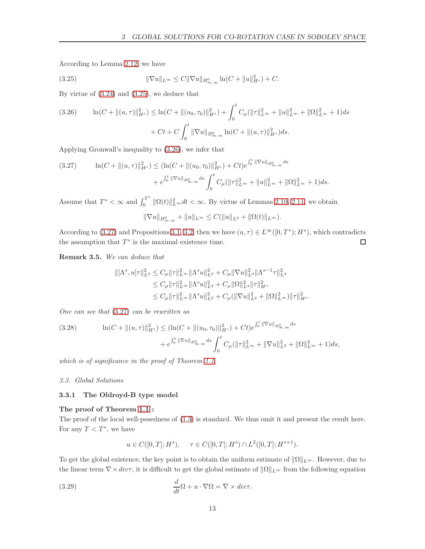According to Lemma [2.12,](#page-8-3) we have

<span id="page-12-2"></span>(3.25) 
$$
\|\nabla u\|_{L^{\infty}} \leq C \|\nabla u\|_{B^{0}_{\infty,\infty}} \ln(C + \|u\|_{H^{s}}^{2}) + C.
$$

By virtue of [\(3.24\)](#page-11-3) and [\(3.25\)](#page-12-2), we deduce that

<span id="page-12-3"></span>
$$
(3.26) \qquad \ln(C + \|(u,\tau)\|_{H^s}^2) \le \ln(C + \|(u_0,\tau_0)\|_{H^s}^2) + \int_0^t C_\mu (\|\tau\|_{L^\infty}^2 + \|u\|_{L^\infty}^2 + \|\Omega\|_{L^\infty}^2 + 1)ds
$$

$$
+ Ct + C \int_0^t \|\nabla u\|_{B_{\infty,\infty}^0} \ln(C + \|(u,\tau)\|_{H^s}^2)ds.
$$

Applying Gronwall's inequality to [\(3.26\)](#page-12-3), we infer that

<span id="page-12-4"></span>
$$
(3.27) \qquad \ln(C + \|(u,\tau)\|_{H^s}^2) \le (\ln(C + \|(u_0,\tau_0)\|_{H^s}^2) + Ct)e^{\int_0^t \|\nabla u\|_{B^0_{\infty,\infty}}ds} + e^{\int_0^t \|\nabla u\|_{B^0_{\infty,\infty}}ds} \int_0^t C_\mu (\|\tau\|_{L^\infty}^2 + \|u\|_{L^\infty}^2 + \|\Omega\|_{L^\infty}^2 + 1)ds.
$$

Assume that  $T^* < \infty$  and  $\int_0^{T^*}$  $\| \Omega(t) \|_{L^{\infty}}^2 dt < \infty$ . By virtue of Lemmas [2.10,](#page-8-2) [2.11,](#page-8-5) we obtain

$$
\|\nabla u\|_{B^{0}_{\infty,\infty}} + \|u\|_{L^{\infty}} \leq C(\|u\|_{L^{2}} + \|\Omega(t)\|_{L^{\infty}}).
$$

According to [\(3.27\)](#page-12-4) and Propositions [3.1,](#page-8-4) [3.2,](#page-9-6) then we have  $(u, \tau) \in L^{\infty}([0, T^*); H^s)$ , which contradicts the assumption that  $T^*$  is the maximal existence time.  $\Box$ 

Remark 3.5. We can deduce that

$$
\begin{aligned} \|[{\Lambda}^s,u] \tau\|^2_{L^2} &\leq C_{\mu}\|\tau\|^2_{L^{\infty}}\|\Lambda^s u\|^2_{L^2}+C_{\mu}\|\nabla u\|^2_{L^4}\|\Lambda^{s-1}\tau\|^2_{L^4}\\ &\leq C_{\mu}\|\tau\|^2_{L^{\infty}}\|\Lambda^s u\|^2_{L^2}+C_{\mu}\|\Omega\|^2_{L^4}\|\tau\|^2_{H^s}\\ &\leq C_{\mu}\|\tau\|^2_{L^{\infty}}\|\Lambda^s u\|^2_{L^2}+C_{\mu}(\|\nabla u\|^2_{L^2}+\|\Omega\|^2_{L^{\infty}})\|\tau\|^2_{H^s}. \end{aligned}
$$

One can see that (3.[27\)](#page-12-4) can be rewritten as

<span id="page-12-5"></span>
$$
(3.28) \qquad \ln(C + \|(u,\tau)\|_{H^s}^2) \leq (\ln(C + \|(u_0,\tau_0)\|_{H^s}^2) + Ct)e^{\int_0^t \|\nabla u\|_{B^0_{\infty,\infty}}ds} + e^{\int_0^t \|\nabla u\|_{B^0_{\infty,\infty}}ds} \int_0^t C_\mu (\|\tau\|_{L^\infty}^2 + \|\nabla u\|_{L^2}^2 + \|\Omega\|_{L^\infty}^2 + 1)ds,
$$

<span id="page-12-0"></span>which is of significance in the proof of Theorem [1.1.](#page-3-0)

#### <span id="page-12-1"></span>3.3. Global Solutions

#### 3.3.1 The Oldroyd-B type model

#### The proof of Theorem [1.1](#page-3-0) :

The proof of the local well-posedness of [\(1.3\)](#page-2-3) is standard. We thus omit it and present the result here. For any  $T < T^*$ , we have

$$
u \in C([0,T];H^s), \quad \tau \in C([0,T];H^s) \cap L^2([0,T];H^{s+1}).
$$

To get the global existence, the key point is to obtain the uniform estimate of  $\|\Omega\|_{L^{\infty}}$ . However, due to the linear term  $\nabla \times \text{div}\tau$ , it is difficult to get the global estimate of  $\|\Omega\|_{L^\infty}$  from the following equation

(3.29) 
$$
\frac{d}{dt}\Omega + u \cdot \nabla\Omega = \nabla \times div\tau.
$$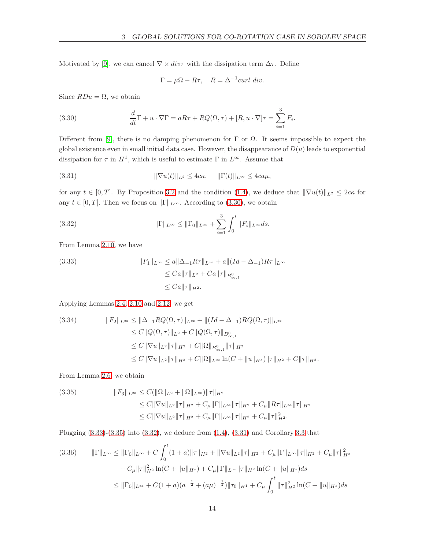Motivated by [\[9\]](#page-29-0), we can cancel  $\nabla \times div\tau$  with the dissipation term  $\Delta \tau$ . Define

$$
\Gamma = \mu \Omega - R\tau, \quad R = \Delta^{-1} \text{curl div.}
$$

Since  $RDu = \Omega$ , we obtain

<span id="page-13-0"></span>(3.30) 
$$
\frac{d}{dt}\Gamma + u \cdot \nabla \Gamma = aR\tau + RQ(\Omega, \tau) + [R, u \cdot \nabla]\tau = \sum_{i=1}^{3} F_i.
$$

Different from [\[9\]](#page-29-0), there is no damping phenomenon for  $\Gamma$  or  $\Omega$ . It seems impossible to expect the global existence even in small initial data case. However, the disappearance of  $D(u)$  leads to exponential dissipation for  $\tau$  in  $H^1$ , which is useful to estimate  $\Gamma$  in  $L^{\infty}$ . Assume that

<span id="page-13-4"></span>(3.31) 
$$
\|\nabla u(t)\|_{L^2} \leq 4c\kappa, \quad \|\Gamma(t)\|_{L^\infty} \leq 4c a\mu,
$$

for any  $t \in [0, T]$ . By Proposition [3.2](#page-9-6) and the condition [\(1.4\)](#page-3-1), we deduce that  $\|\nabla u(t)\|_{L^2} \leq 2c\kappa$  for any  $t \in [0, T]$ . Then we focus on  $\|\Gamma\|_{L^{\infty}}$ . According to [\(3.30\)](#page-13-0), we obtain

<span id="page-13-3"></span>(3.32) 
$$
\|\Gamma\|_{L^{\infty}} \leq \|\Gamma_0\|_{L^{\infty}} + \sum_{i=1}^{3} \int_{0}^{t} \|F_i\|_{L^{\infty}} ds.
$$

From Lemma [2.10,](#page-8-2) we have

<span id="page-13-1"></span>(3.33) 
$$
||F_1||_{L^{\infty}} \le a||\Delta_{-1}R\tau||_{L^{\infty}} + a||(Id - \Delta_{-1})R\tau||_{L^{\infty}}
$$

$$
\le Ca||\tau||_{L^2} + Ca||\tau||_{B^{0}_{\infty,1}}
$$

$$
\le Ca||\tau||_{H^2}.
$$

Applying Lemmas [2.4,](#page-6-1) [2.10](#page-8-2) and [2.12,](#page-8-3) we get

$$
(3.34) \t\t\t\t\|F_2\|_{L^{\infty}} \leq \|\Delta_{-1}RQ(\Omega,\tau)\|_{L^{\infty}} + \|(Id - \Delta_{-1})RQ(\Omega,\tau)\|_{L^{\infty}}
$$
  
\t\t\t
$$
\leq C\|Q(\Omega,\tau)\|_{L^2} + C\|Q(\Omega,\tau)\|_{B^0_{\infty,1}}
$$
  
\t\t\t
$$
\leq C\|\nabla u\|_{L^2}\|\tau\|_{H^2} + C\|\Omega\|_{B^0_{\infty,1}}\|\tau\|_{H^2}
$$
  
\t\t\t
$$
\leq C\|\nabla u\|_{L^2}\|\tau\|_{H^2} + C\|\Omega\|_{L^{\infty}}\ln(C + \|u\|_{H^s})\|\tau\|_{H^2} + C\|\tau\|_{H^2}.
$$

From Lemma [2.6,](#page-7-2) we obtain

<span id="page-13-2"></span>(3.35) 
$$
||F_3||_{L^{\infty}} \leq C(||\Omega||_{L^2} + ||\Omega||_{L^{\infty}}) ||\tau||_{H^2}
$$

$$
\leq C||\nabla u||_{L^2} ||\tau||_{H^2} + C_{\mu} ||\Gamma||_{L^{\infty}} ||\tau||_{H^2} + C_{\mu} ||R\tau||_{L^{\infty}} ||\tau||_{H^2}
$$

$$
\leq C||\nabla u||_{L^2} ||\tau||_{H^2} + C_{\mu} ||\Gamma||_{L^{\infty}} ||\tau||_{H^2} + C_{\mu} ||\tau||_{H^2}.
$$

Plugging  $(3.33)-(3.35)$  $(3.33)-(3.35)$  into  $(3.32)$ , we deduce from  $(1.4)$ ,  $(3.31)$  and Corollary [3.3](#page-10-4) that

$$
(3.36) \qquad \|\Gamma\|_{L^{\infty}} \leq \|\Gamma_0\|_{L^{\infty}} + C \int_0^t (1+a)\|\tau\|_{H^2} + \|\nabla u\|_{L^2} \|\tau\|_{H^2} + C_{\mu} \|\Gamma\|_{L^{\infty}} \|\tau\|_{H^2} + C_{\mu} \|\tau\|_{H^2}^2
$$

$$
+ C_{\mu} \|\tau\|_{H^2}^2 \ln(C + \|u\|_{H^s}) + C_{\mu} \|\Gamma\|_{L^{\infty}} \|\tau\|_{H^2} \ln(C + \|u\|_{H^s}) ds
$$

$$
\leq \|\Gamma_0\|_{L^{\infty}} + C(1+a)(a^{-\frac{1}{2}} + (a\mu)^{-\frac{1}{2}}) \|\tau_0\|_{H^1} + C_{\mu} \int_0^t \|\tau\|_{H^2}^2 \ln(C + \|u\|_{H^s}) ds
$$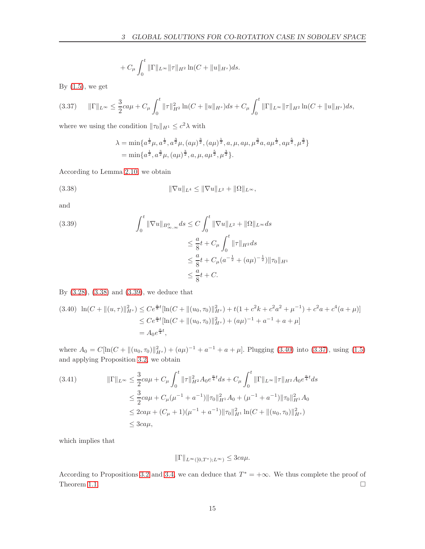$$
+ C_{\mu} \int_0^t \|\Gamma\|_{L^{\infty}} \|\tau\|_{H^2} \ln(C + \|u\|_{H^s}) ds.
$$

By  $(1.5)$ , we get

<span id="page-14-3"></span>
$$
(3.37) \qquad \|\Gamma\|_{L^{\infty}} \leq \frac{3}{2}ca\mu + C_{\mu} \int_{0}^{t} \|\tau\|_{H^{2}}^{2} \ln(C + \|u\|_{H^{s}}) ds + C_{\mu} \int_{0}^{t} \|\Gamma\|_{L^{\infty}} \|\tau\|_{H^{2}} \ln(C + \|u\|_{H^{s}}) ds,
$$

where we using the condition  $\|\tau_0\|_{H^1} \leq c^2\lambda$  with

$$
\lambda = \min\{a^{\frac{1}{2}}\mu, a^{\frac{1}{2}}, a^{\frac{3}{2}}\mu, (a\mu)^{\frac{3}{2}}, (a\mu)^{\frac{1}{2}}, a, \mu, a\mu, \mu^{\frac{3}{2}}a, a\mu^{\frac{1}{2}}, \mu^{\frac{3}{2}}\}
$$
  
= 
$$
\min\{a^{\frac{1}{2}}, a^{\frac{3}{2}}\mu, (a\mu)^{\frac{3}{2}}, a, \mu, a\mu^{\frac{5}{2}}, \mu^{\frac{3}{2}}\}.
$$

According to Lemma [2.10,](#page-8-2) we obtain

<span id="page-14-0"></span>(3.38) 
$$
\|\nabla u\|_{L^4} \le \|\nabla u\|_{L^2} + \|\Omega\|_{L^\infty},
$$

and

<span id="page-14-1"></span>(3.39) 
$$
\int_0^t \|\nabla u\|_{B^0_{\infty,\infty}} ds \le C \int_0^t \|\nabla u\|_{L^2} + \|\Omega\|_{L^\infty} ds
$$

$$
\le \frac{a}{8}t + C_\mu \int_0^t \|\tau\|_{H^2} ds
$$

$$
\le \frac{a}{8}t + C_\mu (a^{-\frac{1}{2}} + (a\mu)^{-\frac{1}{2}}) \|\tau_0\|_{H^1}
$$

$$
\le \frac{a}{8}t + C.
$$

By [\(3.28\)](#page-12-5), [\(3.38\)](#page-14-0) and [\(3.39\)](#page-14-1), we deduce that

<span id="page-14-2"></span>
$$
(3.40) \ln(C + \|(u,\tau)\|_{H^s}^2) \le Ce^{\frac{a}{8}t}[\ln(C + \|(u_0,\tau_0)\|_{H^s}^2) + t(1 + c^2k + c^2a^2 + \mu^{-1}) + c^2a + c^4(a+\mu)]
$$
  
\n
$$
\le Ce^{\frac{a}{4}t}[\ln(C + \|(u_0,\tau_0)\|_{H^s}^2) + (a\mu)^{-1} + a^{-1} + a + \mu]
$$
  
\n
$$
= A_0e^{\frac{a}{4}t},
$$

where  $A_0 = C[\ln(C + ||(u_0, \tau_0)||_{H^s}^2) + (a\mu)^{-1} + a^{-1} + a + \mu]$ . Plugging [\(3.40\)](#page-14-2) into [\(3.37\)](#page-14-3), using [\(1.5\)](#page-3-2) and applying Proposition [3.2,](#page-9-6) we obtain

$$
(3.41) \t\t\t ||\Gamma||_{L^{\infty}} \leq \frac{3}{2}ca\mu + C_{\mu} \int_{0}^{t} ||\tau||_{H^{2}}^{2} A_{0}e^{\frac{a}{4}t} ds + C_{\mu} \int_{0}^{t} ||\Gamma||_{L^{\infty}} ||\tau||_{H^{2}} A_{0}e^{\frac{a}{4}t} ds \n\leq \frac{3}{2}ca\mu + C_{\mu}(\mu^{-1} + a^{-1}) ||\tau_{0}||_{H^{1}}^{2} A_{0} + (\mu^{-1} + a^{-1}) ||\tau_{0}||_{H^{1}}^{2} A_{0} \n\leq 2ca\mu + (C_{\mu} + 1)(\mu^{-1} + a^{-1}) ||\tau_{0}||_{H^{1}}^{2} \ln(C + ||(u_{0}, \tau_{0})||_{H^{s}}^{2}) \n\leq 3ca\mu,
$$

which implies that

$$
\|\Gamma\|_{L^{\infty}([0,T^*);L^{\infty})} \leq 3ca\mu.
$$

According to Propositions [3.2](#page-9-6) and [3.4,](#page-11-4) we can deduce that  $T^* = +\infty$ . We thus complete the proof of Theorem [1.1.](#page-3-0)  $\Box$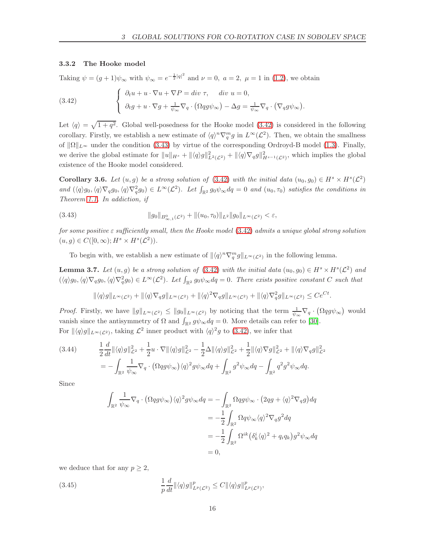#### <span id="page-15-0"></span>3.3.2 The Hooke model

Taking  $\psi = (g+1)\psi_{\infty}$  with  $\psi_{\infty} = e^{-\frac{1}{2}|q|^2}$  and  $\nu = 0$ ,  $a = 2$ ,  $\mu = 1$  in [\(1.2\)](#page-1-2), we obtain

<span id="page-15-2"></span>(3.42) 
$$
\begin{cases} \partial_t u + u \cdot \nabla u + \nabla P = div \tau, \quad div \ u = 0, \\ \partial_t g + u \cdot \nabla g + \frac{1}{\psi_{\infty}} \nabla_q \cdot (\Omega q g \psi_{\infty}) - \Delta g = \frac{1}{\psi_{\infty}} \nabla_q \cdot (\nabla_q g \psi_{\infty}). \end{cases}
$$

Let  $\langle q \rangle = \sqrt{1 + q^2}$ . Global well-posedness for the Hooke model [\(3.42\)](#page-15-2) is considered in the following corollary. Firstly, we establish a new estimate of  $\langle q \rangle^n \nabla_q^m g$  in  $L^\infty(\mathcal{L}^2)$ . Then, we obtain the smallness of  $\|\Omega\|_{L^{\infty}}$  under the condition [\(3.43\)](#page-15-3) by virtue of the corresponding Ordroyd-B model [\(1.3\)](#page-2-3). Finally, we derive the global estimate for  $||u||_{H^s} + ||\langle q \rangle g||^2_{L^2(\mathcal{L}^2)} + ||\langle q \rangle \nabla_q g||^2_{H^{s-1}(\mathcal{L}^2)}$ , which implies the global existence of the Hooke model considered.

<span id="page-15-1"></span>**Corollary 3.6.** Let  $(u, g)$  be a strong solution of [\(3.42\)](#page-15-2) with the initial data  $(u_0, g_0) \in H^s \times H^s(\mathcal{L}^2)$ and  $(\langle q \rangle g_0, \langle q \rangle \nabla_q g_0, \langle q \rangle \nabla_q^2 g_0) \in L^{\infty}(\mathcal{L}^2)$ . Let  $\int_{\mathbb{R}^2} g_0 \psi_{\infty} dq = 0$  and  $(u_0, \tau_0)$  satisfies the conditions in Theorem [1.1.](#page-3-0) In addiction, if

<span id="page-15-3"></span>
$$
(3.43) \t\t\t\t \|g_0\|_{B^0_{\infty,1}(\mathcal{L}^2)} + \|(u_0,\tau_0)\|_{L^2} \|g_0\|_{L^{\infty}(\mathcal{L}^2)} < \varepsilon,
$$

for some positive  $\varepsilon$  sufficiently small, then the Hooke model [\(3.42\)](#page-15-2) admits a unique global strong solution  $(u, g) \in C([0, \infty); H^s \times H^s(\mathcal{L}^2)).$ 

To begin with, we establish a new estimate of  $\|\langle q\rangle^n \nabla_q^m g\|_{L^\infty(\mathcal{L}^2)}$  in the following lemma.

<span id="page-15-4"></span>**Lemma 3.7.** Let  $(u, g)$  be a strong solution of  $(3.42)$  with the initial data  $(u_0, g_0) \in H^s \times H^s(\mathcal{L}^2)$  and  $(\langle q \rangle g_0, \langle q \rangle \nabla_q g_0, \langle q \rangle \nabla_q^2 g_0) \in L^{\infty}(\mathcal{L}^2)$ . Let  $\int_{\mathbb{R}^2} g_0 \psi_{\infty} dq = 0$ . There exists positive constant C such that

$$
\|\langle q\rangle g\|_{L^{\infty}(\mathcal{L}^2)} + \|\langle q\rangle \nabla_q g\|_{L^{\infty}(\mathcal{L}^2)} + \|\langle q\rangle^2 \nabla_q g\|_{L^{\infty}(\mathcal{L}^2)} + \|\langle q\rangle \nabla_q^2 g\|_{L^{\infty}(\mathcal{L}^2)} \le Ce^{Ct}
$$

.

*Proof.* Firstly, we have  $||g||_{L^{\infty}(\mathcal{L}^2)} \le ||g_0||_{L^{\infty}(\mathcal{L}^2)}$  by noticing that the term  $\frac{1}{\psi_{\infty}} \nabla_q \cdot (\Omega q g \psi_{\infty})$  would vanish since the antisymmetry of  $\Omega$  and  $\int_{\mathbb{R}^2} g\psi_\infty dq = 0$ . More details can refer to [\[30\]](#page-30-9). For  $\|\langle q \rangle g\|_{L^{\infty}(\mathcal{L}^2)}$ , taking  $\mathcal{L}^2$  inner product with  $\langle q \rangle^2 g$  to (3.[42\)](#page-15-2), we infer that

$$
(3.44) \qquad \frac{1}{2}\frac{d}{dt}\|\langle q\rangle g\|_{\mathcal{L}^{2}}^{2} + \frac{1}{2}u \cdot \nabla \|\langle q\rangle g\|_{\mathcal{L}^{2}}^{2} - \frac{1}{2}\Delta \|\langle q\rangle g\|_{\mathcal{L}^{2}}^{2} + \frac{1}{2}\|\langle q\rangle \nabla g\|_{\mathcal{L}^{2}}^{2} + \|\langle q\rangle \nabla_{q} g\|_{\mathcal{L}^{2}}^{2}
$$
\n
$$
= -\int_{\mathbb{R}^{2}}\frac{1}{\psi_{\infty}}\nabla_{q} \cdot \left(\Omega q g \psi_{\infty}\right)\langle q\rangle^{2} g \psi_{\infty} dq + \int_{\mathbb{R}^{2}} g^{2} \psi_{\infty} dq - \int_{\mathbb{R}^{2}} q^{2} g^{2} \psi_{\infty} dq.
$$

Since

$$
\int_{\mathbb{R}^2} \frac{1}{\psi_{\infty}} \nabla_q \cdot (\Omega q g \psi_{\infty}) \langle q \rangle^2 g \psi_{\infty} dq = - \int_{\mathbb{R}^2} \Omega q g \psi_{\infty} \cdot (2q g + \langle q \rangle^2 \nabla_q g) dq
$$
  
\n
$$
= -\frac{1}{2} \int_{\mathbb{R}^2} \Omega q \psi_{\infty} \langle q \rangle^2 \nabla_q g^2 dq
$$
  
\n
$$
= -\frac{1}{2} \int_{\mathbb{R}^2} \Omega^{ik} (\delta^i_k \langle q \rangle^2 + q_i q_k) g^2 \psi_{\infty} dq
$$
  
\n
$$
= 0,
$$

we deduce that for any  $p \geq 2$ ,

(3.45) 
$$
\frac{1}{p}\frac{d}{dt}\|\langle q\rangle g\|_{L^p(\mathcal{L}^2)}^p \leq C\|\langle q\rangle g\|_{L^p(\mathcal{L}^2)}^p,
$$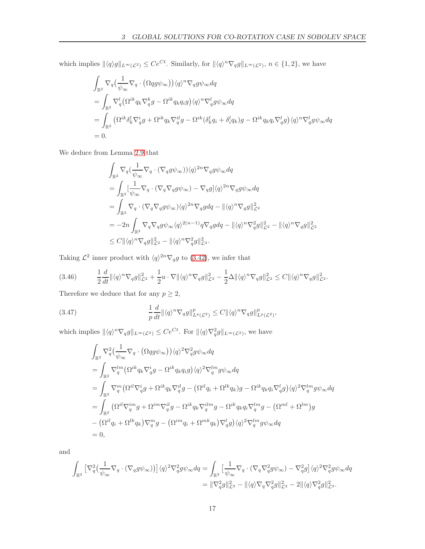which implies  $\|\langle q \rangle g\|_{L^{\infty}(\mathcal{L}^2)} \leq Ce^{Ct}$ . Similarly, for  $\|\langle q \rangle^n \nabla_q g\|_{L^{\infty}(\mathcal{L}^2)}$ ,  $n \in \{1, 2\}$ , we have

$$
\begin{split}\n&\int_{\mathbb{R}^2} \nabla_q \left( \frac{1}{\psi_{\infty}} \nabla_q \cdot \left( \Omega q g \psi_{\infty} \right) \right) \langle q \rangle^n \nabla_q g \psi_{\infty} dq \\
&= \int_{\mathbb{R}^2} \nabla_q^l \left( \Omega^{ik} q_k \nabla_q^k g - \Omega^{ik} q_k q_i g \right) \langle q \rangle^n \nabla_q^l g \psi_{\infty} dq \\
&= \int_{\mathbb{R}^2} \left( \Omega^{ik} \delta_k^l \nabla_q^i g + \Omega^{ik} q_k \nabla_q^{il} g - \Omega^{ik} (\delta_k^l q_i + \delta_i^l q_k) g - \Omega^{ik} q_k q_i \nabla_q^l g \right) \langle q \rangle^n \nabla_q^l g \psi_{\infty} dq \\
&= 0.\n\end{split}
$$

We deduce from Lemma [2.9](#page-7-3) that

$$
\begin{aligned} &\int_{\mathbb{R}^2}\nabla_q(\frac{1}{\psi_\infty}\nabla_q\cdot(\nabla_q g\psi_\infty))\langle q\rangle^{2n}\nabla_q g\psi_\infty dq\\ &=\int_{\mathbb{R}^2}[\frac{1}{\psi_\infty}\nabla_q\cdot(\nabla_q\nabla_q g\psi_\infty)-\nabla_q g]\langle q\rangle^{2n}\nabla_q g\psi_\infty dq\\ &=\int_{\mathbb{R}^2}\nabla_q\cdot(\nabla_q\nabla_q g\psi_\infty)\langle q\rangle^{2n}\nabla_q g dq-\|\langle q\rangle^n\nabla_q g\|_{\mathcal{L}^2}^2\\ &=-2n\int_{\mathbb{R}^2}\nabla_q\nabla_q g g\psi_\infty\langle q\rangle^{2(n-1)}q\nabla_q g dq-\|\langle q\rangle^n\nabla_q^2 g\|_{\mathcal{L}^2}^2-\|\langle q\rangle^n\nabla_q g\|_{\mathcal{L}^2}^2\\ &\leq C\|\langle q\rangle^n\nabla_q g\|_{\mathcal{L}^2}^2-\|\langle q\rangle^n\nabla_q^2 g\|_{\mathcal{L}^2}^2. \end{aligned}
$$

Taking  $\mathcal{L}^2$  inner product with  $\langle q \rangle^{2n} \nabla_q g$  to (3.[42\)](#page-15-2), we infer that

$$
(3.46) \qquad \frac{1}{2}\frac{d}{dt}\|\langle q\rangle^{n}\nabla_{q}g\|_{\mathcal{L}^{2}}^{2}+\frac{1}{2}u\cdot\nabla\|\langle q\rangle^{n}\nabla_{q}g\|_{\mathcal{L}^{2}}^{2}-\frac{1}{2}\Delta\|\langle q\rangle^{n}\nabla_{q}g\|_{\mathcal{L}^{2}}^{2}\leq C\|\langle q\rangle^{n}\nabla_{q}g\|_{\mathcal{L}^{2}}^{2}.
$$

Therefore we deduce that for any  $p \geq 2$ ,

(3.47) 
$$
\frac{1}{p}\frac{d}{dt}\|\langle q\rangle^n \nabla_q g\|_{L^p(\mathcal{L}^2)}^p \leq C\|\langle q\rangle^n \nabla_q g\|_{L^p(\mathcal{L}^2)}^p,
$$

which implies  $\| \langle q \rangle^n \nabla_q g \|_{L^\infty(\mathcal{L}^2)} \leq Ce^{Ct}$ . For  $\| \langle q \rangle \nabla_q^2 g \|_{L^\infty(\mathcal{L}^2)}$ , we have

$$
\begin{split} &\int_{\mathbb{R}^2}\nabla_q^2\big(\frac{1}{\psi_\infty}\nabla_q\cdot\big(\Omega qg\psi_\infty\big)\big)\langle q\rangle^2\nabla_q^2g\psi_\infty dq\\ &=\int_{\mathbb{R}^2}\nabla_q^{lm}\big(\Omega^{ik}q_k\nabla_q^ig-\Omega^{ik}q_kq_ig\big)\langle q\rangle^2\nabla_q^{lm}g\psi_\infty dq\\ &=\int_{\mathbb{R}^2}\nabla_q^m\big(\Omega^{il}\nabla_q^ig+\Omega^{ik}q_k\nabla_q^{il}g-\big(\Omega^{il}q_i+\Omega^{lk}q_k\big)g-\Omega^{ik}q_kq_i\nabla_q^{l}g\big)\langle q\rangle^2\nabla_q^{lm}g\psi_\infty dq\\ &=\int_{\mathbb{R}^2}\big(\Omega^{il}\nabla_q^{im}g+\Omega^{im}\nabla_q^{il}g-\Omega^{ik}q_k\nabla_q^{ilm}g-\Omega^{ik}q_kq_i\nabla_q^{lm}g-\big(\Omega^{ml}+\Omega^{lm}\big)g\\ &-\big(\Omega^{il}q_i+\Omega^{lk}q_k\big)\nabla_q^mg-\big(\Omega^{im}q_i+\Omega^{mk}q_k\big)\nabla_q^lg\big)\langle q\rangle^2\nabla_q^{lm}g\psi_\infty dq\\ &=0, \end{split}
$$

and

$$
\int_{\mathbb{R}^2} \left[ \nabla_q^2 \left( \frac{1}{\psi_{\infty}} \nabla_q \cdot (\nabla_q g \psi_{\infty}) \right) \right] \langle q \rangle^2 \nabla_q^2 g \psi_{\infty} dq = \int_{\mathbb{R}^2} \left[ \frac{1}{\psi_{\infty}} \nabla_q \cdot (\nabla_q \nabla_q^2 g \psi_{\infty}) - \nabla_q^2 g \right] \langle q \rangle^2 \nabla_q^2 g \psi_{\infty} dq
$$
  

$$
= \|\nabla_q^2 g\|_{\mathcal{L}^2}^2 - \|\langle q \rangle \nabla_q \nabla_q^2 g\|_{\mathcal{L}^2}^2 - 2 \|\langle q \rangle \nabla_q^2 g\|_{\mathcal{L}^2}^2.
$$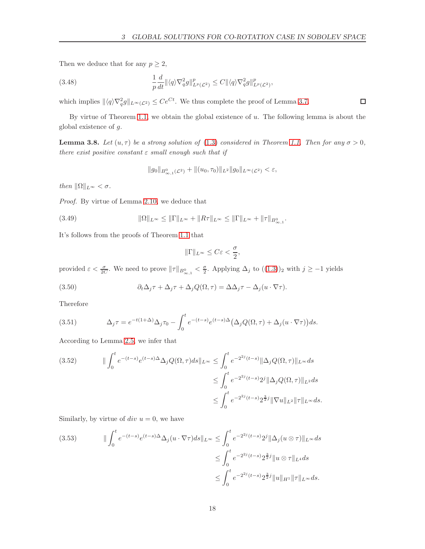Then we deduce that for any  $p \geq 2$ ,

(3.48) 
$$
\frac{1}{p}\frac{d}{dt}\|\langle q\rangle\nabla_q^2g\|_{L^p(\mathcal{L}^2)}^p \leq C\|\langle q\rangle\nabla_q^2g\|_{L^p(\mathcal{L}^2)}^p,
$$

which implies  $\| \langle q \rangle \nabla_q^2 g \|_{L^\infty(\mathcal{L}^2)} \leq Ce^{Ct}$ . We thus complete the proof of Lemma [3.7.](#page-15-4)

By virtue of Theorem [1.1,](#page-3-0) we obtain the global existence of u. The following lemma is about the global existence of g.

<span id="page-17-1"></span>**Lemma 3.8.** Let  $(u, \tau)$  be a strong solution of [\(1.3\)](#page-2-3) considered in Theorem [1.1.](#page-3-0) Then for any  $\sigma > 0$ , there exist positive constant  $\varepsilon$  small enough such that if

$$
||g_0||_{B^0_{\infty,1}(\mathcal{L}^2)} + ||(u_0,\tau_0)||_{L^2} ||g_0||_{L^{\infty}(\mathcal{L}^2)} < \varepsilon,
$$

then  $\|\Omega\|_{L^\infty} < \sigma$ .

Proof. By virtue of Lemma [2.10,](#page-8-2) we deduce that

(3.49) 
$$
\|\Omega\|_{L^{\infty}} \le \|\Gamma\|_{L^{\infty}} + \|R\tau\|_{L^{\infty}} \le \|\Gamma\|_{L^{\infty}} + \|\tau\|_{B^{0}_{\infty,1}}.
$$

It's follows from the proofs of Theorem [1.1](#page-3-0) that

$$
\|\Gamma\|_{L^\infty}\leq C\varepsilon<\frac{\sigma}{2},
$$

provided  $\varepsilon < \frac{\sigma}{2C}$ . We need to prove  $\|\tau\|_{B^0_{\infty,1}} < \frac{\sigma}{2}$ . Applying  $\Delta_j$  to  $((1.3))_2$  $((1.3))_2$  $((1.3))_2$  with  $j \ge -1$  yields

<span id="page-17-0"></span>(3.50) 
$$
\partial_t \Delta_j \tau + \Delta_j \tau + \Delta_j Q(\Omega, \tau) = \Delta \Delta_j \tau - \Delta_j (u \cdot \nabla \tau).
$$

Therefore

(3.51) 
$$
\Delta_j \tau = e^{-t(1+\Delta)} \Delta_j \tau_0 - \int_0^t e^{-(t-s)} e^{(t-s)\Delta} \left( \Delta_j Q(\Omega, \tau) + \Delta_j (u \cdot \nabla \tau) \right) ds.
$$

According to Lemma [2.5,](#page-7-4) we infer that

$$
(3.52) \qquad \|\int_0^t e^{-(t-s)} e^{(t-s)\Delta} \Delta_j Q(\Omega, \tau) ds \|_{L^\infty} \leq \int_0^t e^{-2^{2j}(t-s)} \|\Delta_j Q(\Omega, \tau)\|_{L^\infty} ds
$$
  

$$
\leq \int_0^t e^{-2^{2j}(t-s)} 2^j \|\Delta_j Q(\Omega, \tau)\|_{L^2} ds
$$
  

$$
\leq \int_0^t e^{-2^{2j}(t-s)} 2^{\frac{3}{2}j} \|\nabla u\|_{L^2} \|\tau\|_{L^\infty} ds.
$$

Similarly, by virtue of div  $u = 0$ , we have

$$
(3.53) \qquad \qquad \|\int_0^t e^{-(t-s)}e^{(t-s)\Delta} \Delta_j(u \cdot \nabla \tau) ds\|_{L^\infty} \le \int_0^t e^{-2^{2j}(t-s)} 2^j \|\Delta_j(u \otimes \tau)\|_{L^\infty} ds
$$
  

$$
\le \int_0^t e^{-2^{2j}(t-s)} 2^{\frac{3}{2}j} \|u \otimes \tau\|_{L^4} ds
$$
  

$$
\le \int_0^t e^{-2^{2j}(t-s)} 2^{\frac{3}{2}j} \|u\|_{H^1} \|\tau\|_{L^\infty} ds.
$$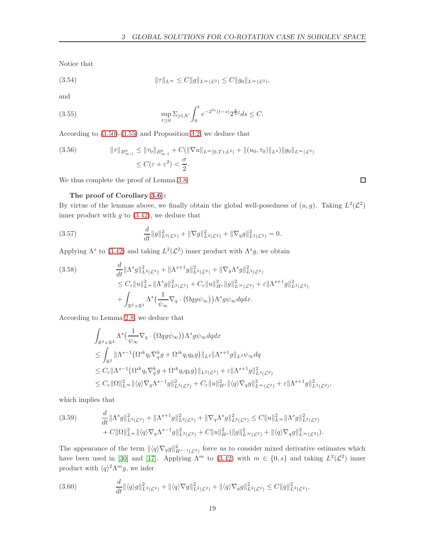Notice that

(3.54) 
$$
\|\tau\|_{L^{\infty}} \leq C \|g\|_{L^{\infty}(\mathcal{L}^2)} \leq C \|g_0\|_{L^{\infty}(\mathcal{L}^2)},
$$

and

<span id="page-18-0"></span>(3.55) 
$$
\sup_{t\geq 0} \sum_{j\in\mathcal{N}} \int_0^t e^{-2^{2j}(t-s)} 2^{\frac{3}{2}j} ds \leq C.
$$

According to [\(3.50\)](#page-17-0)-[\(3.55\)](#page-18-0) and Proposition [3.2,](#page-9-6) we deduce that

$$
(3.56) \t\t\t ||\tau||_{B^{0}_{\infty,1}} \leq ||\tau_{0}||_{B^{0}_{\infty,1}} + C(||\nabla u||_{L^{\infty}[0,T);L^{2})} + ||(u_{0},\tau_{0})||_{L^{2}})||g_{0}||_{L^{\infty}(\mathcal{L}^{2})}
$$

$$
\leq C(\varepsilon + \varepsilon^{2}) < \frac{\sigma}{2}.
$$

We thus complete the proof of Lemma [3.8.](#page-17-1)

#### The proof of Corollary [3.6](#page-15-1) :

By virtue of the lemmas above, we finally obtain the global well-posedness of  $(u, g)$ . Taking  $L^2(\mathcal{L}^2)$ inner product with  $g$  to  $(3.42)$ , we deduce that

(3.57) 
$$
\frac{d}{dt}||g||_{L^{2}(\mathcal{L}^{2})}^{2} + ||\nabla g||_{L^{2}(\mathcal{L}^{2})}^{2} + ||\nabla_{q}g||_{L^{2}(\mathcal{L}^{2})}^{2} = 0.
$$

Applying  $\Lambda^s$  to [\(3.42\)](#page-15-2) and taking  $L^2(\mathcal{L}^2)$  inner product with  $\Lambda^s g$ , we obtain

$$
(3.58) \quad \frac{d}{dt} \|\Lambda^s g\|_{L^2(\mathcal{L}^2)}^2 + \|\Lambda^{s+1} g\|_{L^2(\mathcal{L}^2)}^2 + \|\nabla_q \Lambda^s g\|_{L^2(\mathcal{L}^2)}^2 \n\leq C_{\varepsilon} \|u\|_{L^\infty}^2 \|\Lambda^s g\|_{L^2(\mathcal{L}^2)}^2 + C_{\varepsilon} \|u\|_{H^s}^2 \|g\|_{L^\infty(\mathcal{L}^2)}^2 + \varepsilon \|\Lambda^{s+1} g\|_{L^2(\mathcal{L}^2)}^2 \n+ \int_{\mathbb{R}^2 \times \mathbb{R}^2} \Lambda^s \left(\frac{1}{\psi_{\infty}} \nabla_q \cdot (\Omega q g \psi_{\infty})\right) \Lambda^s g \psi_{\infty} dq dx.
$$

According to Lemma [2.8,](#page-7-1) we deduce that

$$
\int_{\mathbb{R}^2 \times \mathbb{R}^2} \Lambda^s \left( \frac{1}{\psi_{\infty}} \nabla_q \cdot (\Omega q g \psi_{\infty}) \right) \Lambda^s g \psi_{\infty} dq dx
$$
\n
$$
\leq \int_{\mathbb{R}^2} \| \Lambda^{s-1} \left( \Omega^{ik} q_i \nabla_q^k g + \Omega^{ik} q_i q_k g \right) \|_{L^2} \| \Lambda^{s+1} g \|_{L^2} \psi_{\infty} dq
$$
\n
$$
\leq C_{\varepsilon} \| \Lambda^{s-1} \left( \Omega^{ik} q_i \nabla_q^k g + \Omega^{ik} q_i q_k g \right) \|_{L^2(\mathcal{L}^2)} + \varepsilon \| \Lambda^{s+1} g \|_{L^2(\mathcal{L}^2)}^2
$$
\n
$$
\leq C_{\varepsilon} \| \Omega \|_{L^{\infty}}^2 \| \langle q \rangle \nabla_q \Lambda^{s-1} g \|_{L^2(\mathcal{L}^2)}^2 + C_{\varepsilon} \| u \|_{H^s}^2 \| \langle q \rangle \nabla_q g \|_{L^{\infty}(\mathcal{L}^2)}^2 + \varepsilon \| \Lambda^{s+1} g \|_{L^2(\mathcal{L}^2)}^2,
$$

which implies that

<span id="page-18-1"></span>
$$
(3.59) \qquad \frac{d}{dt} \|\Lambda^s g\|_{L^2(\mathcal{L}^2)}^2 + \|\Lambda^{s+1} g\|_{L^2(\mathcal{L}^2)}^2 + \|\nabla_q \Lambda^s g\|_{L^2(\mathcal{L}^2)}^2 \leq C \|u\|_{L^\infty}^2 \|\Lambda^s g\|_{L^2(\mathcal{L}^2)}^2 + C \|\Omega\|_{L^\infty}^2 \|\langle q \rangle \nabla_q \Lambda^{s-1} g\|_{L^2(\mathcal{L}^2)}^2 + C \|u\|_{H^s}^2 (\|g\|_{L^\infty(\mathcal{L}^2)}^2 + \|\langle q \rangle \nabla_q g\|_{L^\infty(\mathcal{L}^2)}^2).
$$

The appearance of the term  $\|\langle q\rangle\nabla_q g\|_{H^{s-1}(\mathcal{L}^2)}^2$  force us to consider mixed derivative estimates which have been used in [\[30\]](#page-30-9) and [\[17\]](#page-30-16). Applying  $\Lambda^m$  to [\(3.42\)](#page-15-2) with  $m \in \{0, s\}$  and taking  $L^2(\mathcal{L}^2)$  inner product with  $\langle q \rangle^2 \Lambda^m g$ , we infer

$$
(3.60) \qquad \frac{d}{dt} \|\langle q \rangle g\|_{L^2(\mathcal{L}^2)}^2 + \|\langle q \rangle \nabla g\|_{L^2(\mathcal{L}^2)}^2 + \|\langle q \rangle \nabla_q g\|_{L^2(\mathcal{L}^2)}^2 \leq C \|g\|_{L^2(\mathcal{L}^2)}^2,
$$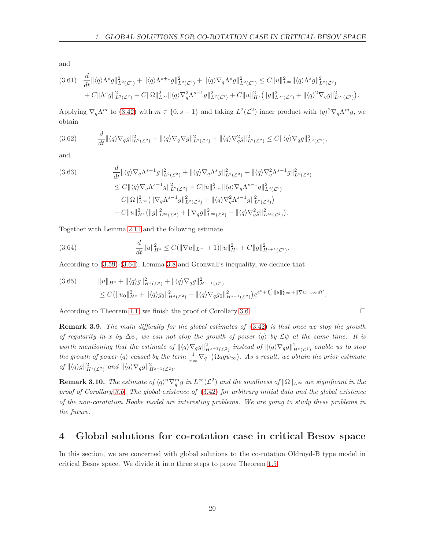and

$$
(3.61) \quad \frac{d}{dt} \|\langle q \rangle \Lambda^s g\|_{L^2(\mathcal{L}^2)}^2 + \|\langle q \rangle \Lambda^{s+1} g\|_{L^2(\mathcal{L}^2)}^2 + \|\langle q \rangle \nabla_q \Lambda^s g\|_{L^2(\mathcal{L}^2)}^2 \leq C \|u\|_{L^\infty}^2 \|\langle q \rangle \Lambda^s g\|_{L^2(\mathcal{L}^2)}^2 + C \| \Lambda^s g\|_{L^2(\mathcal{L}^2)}^2 + C \| \Omega \|_{L^\infty}^2 \|\langle q \rangle \nabla_q^2 \Lambda^{s-1} g\|_{L^2(\mathcal{L}^2)}^2 + C \|u\|_{H^s}^2 (\|g\|_{L^\infty(\mathcal{L}^2)}^2 + \|\langle q \rangle^2 \nabla_q g\|_{L^\infty(\mathcal{L}^2)}^2).
$$

Applying  $\nabla_q \Lambda^m$  to [\(3.42\)](#page-15-2) with  $m \in \{0, s-1\}$  and taking  $L^2(\mathcal{L}^2)$  inner product with  $\langle q \rangle^2 \nabla_q \Lambda^m g$ , we obtain

$$
(3.62) \t\t \frac{d}{dt} \|\langle q \rangle \nabla_q g\|_{L^2(\mathcal{L}^2)}^2 + \|\langle q \rangle \nabla_q \nabla g\|_{L^2(\mathcal{L}^2)}^2 + \|\langle q \rangle \nabla_q^2 g\|_{L^2(\mathcal{L}^2)}^2 \leq C \|\langle q \rangle \nabla_q g\|_{L^2(\mathcal{L}^2)}^2,
$$

and

$$
(3.63) \quad \frac{d}{dt} \|\langle q \rangle \nabla_q \Lambda^{s-1} g\|_{L^2(\mathcal{L}^2)}^2 + \|\langle q \rangle \nabla_q \Lambda^s g\|_{L^2(\mathcal{L}^2)}^2 + \|\langle q \rangle \nabla_q^2 \Lambda^{s-1} g\|_{L^2(\mathcal{L}^2)}^2
$$
\n
$$
\leq C \|\langle q \rangle \nabla_q \Lambda^{s-1} g\|_{L^2(\mathcal{L}^2)}^2 + C \|u\|_{L^\infty}^2 \|\langle q \rangle \nabla_q \Lambda^{s-1} g\|_{L^2(\mathcal{L}^2)}^2
$$
\n
$$
+ C \|\Omega\|_{L^\infty}^2 \left( \|\nabla_q \Lambda^{s-1} g\|_{L^2(\mathcal{L}^2)}^2 + \|\langle q \rangle \nabla_q^2 \Lambda^{s-1} g\|_{L^2(\mathcal{L}^2)}^2 \right)
$$
\n
$$
+ C \|u\|_{H^s}^2 \left( \|g\|_{L^\infty(\mathcal{L}^2)}^2 + \|\nabla_q g\|_{L^\infty(\mathcal{L}^2)}^2 + \|\langle q \rangle \nabla_q^2 g\|_{L^\infty(\mathcal{L}^2)}^2 \right).
$$

Together with Lemma [2.11](#page-8-5) and the following estimate

<span id="page-19-1"></span>(3.64) 
$$
\frac{d}{dt}||u||_{H^s}^2 \leq C(||\nabla u||_{L^\infty} + 1)||u||_{H^s}^2 + C||g||_{H^{s+1}(\mathcal{L}^2)}^2.
$$

According to [\(3.59\)](#page-18-1)-[\(3.64\)](#page-19-1), Lemma [3.8](#page-17-1) and Gronwall's inequality, we deduce that

$$
(3.65) \t\t ||u||_{H^{s}} + ||\langle q \rangle g||_{H^{s}(\mathcal{L}^{2})}^{2} + ||\langle q \rangle \nabla_{q} g||_{H^{s-1}(\mathcal{L}^{2})}^{2} \leq C(||u_{0}||_{H^{s}}^{2} + ||\langle q \rangle g_{0}||_{H^{s}(\mathcal{L}^{2})}^{2} + ||\langle q \rangle \nabla_{q} g_{0}||_{H^{s-1}(\mathcal{L}^{2})}^{2})e^{e^{t} + \int_{0}^{t} ||u||_{L^{\infty}}^{2} + ||\nabla u||_{L^{\infty}} dt'}.
$$

According to Theorem [1.1,](#page-3-0) we finish the proof of Corollary [3.6.](#page-15-1)

**Remark 3.9.** The main difficulty for the global estimates of  $(3.42)$  is that once we stop the growth of regularity in x by  $\Delta \psi$ , we can not stop the growth of power  $\langle q \rangle$  by  $\mathcal{L}\psi$  at the same time. It is worth mentioning that the estimate of  $\|\langle q\rangle\nabla_qg\|^2_{H^{s-1}(\mathcal{L}^2)}$  instead of  $\|\langle q\rangle\nabla_qg\|^2_{H^{s}(\mathcal{L}^2)}$  enable us to stop the growth of power  $\langle q \rangle$  caused by the term  $\frac{1}{\psi_{\infty}} \nabla_q \cdot (\Omega q g \psi_{\infty})$ . As a result, we obtain the prior estimate of  $\|\langle q\rangle g\|_{H^s(\mathcal{L}^2)}^2$  and  $\|\langle q\rangle\nabla_q g\|_{H^{s-1}(\mathcal{L}^2)}^2$ .

**Remark 3.10.** The estimate of  $\langle q \rangle^n \nabla_q^m g$  in  $L^{\infty}(\mathcal{L}^2)$  and the smallness of  $\|\Omega\|_{L^{\infty}}$  are significant in the proof of Corollary [3.6.](#page-15-1) The global existence of  $(3.42)$  for arbitrary initial data and the global existence of the non-corotation Hooke model are interesting problems. We are going to study these problems in the future.

### <span id="page-19-0"></span>4 Global solutions for co-rotation case in critical Besov space

In this section, we are concerned with global solutions to the co-rotation Oldroyd-B type model in critical Besov space. We divide it into three steps to prove Theorem [1.5.](#page-4-0)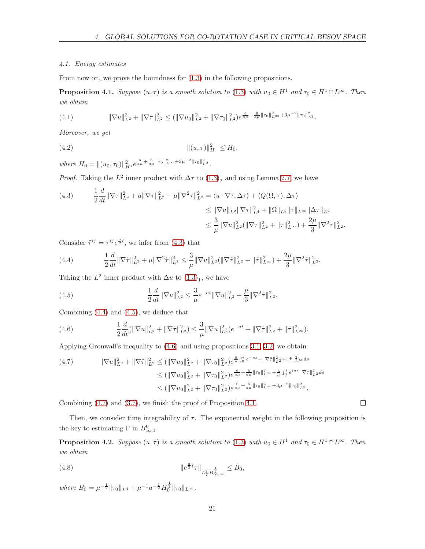#### <span id="page-20-0"></span>4.1. Energy estimates

From now on, we prove the boundness for [\(1.3\)](#page-2-3) in the following propositions.

<span id="page-20-6"></span>**Proposition 4.1.** Suppose  $(u, \tau)$  is a smooth solution to [\(1.3\)](#page-2-3) with  $u_0 \in H^1$  and  $\tau_0 \in H^1 \cap L^{\infty}$ . Then we obtain

$$
(4.1) \t\t\t \|\nabla u\|_{L^2}^2 + \|\nabla \tau\|_{L^2}^2 \le (\|\nabla u_0\|_{L^2}^2 + \|\nabla \tau_0\|_{L^2}^2) e^{\frac{6}{a\mu} + \frac{6}{a\mu} \|\tau_0\|_{L^\infty}^2 + 3\mu^{-2} \|\tau_0\|_{L^2}^2}.
$$

Moreover, we get

(4.2) 
$$
\|(u,\tau)\|_{H^1}^2 \leq H_0,
$$

where  $H_0 = ||(u_0, \tau_0)||_{H^1}^2 e^{\frac{6}{a\mu} + \frac{6}{a\mu} ||\tau_0||_{L^{\infty}}^2 + 3\mu^{-2} ||\tau_0||_{L^2}^2}$ .

*Proof.* Taking the  $L^2$  inner product with  $\Delta \tau$  to  $(1.3)_2$  and using Lemma [2.7,](#page-7-0) we have

<span id="page-20-1"></span>(4.3) 
$$
\frac{1}{2}\frac{d}{dt}\|\nabla\tau\|_{L^{2}}^{2}+a\|\nabla\tau\|_{L^{2}}^{2}+\mu\|\nabla^{2}\tau\|_{L^{2}}^{2}=\langle u\cdot\nabla\tau,\Delta\tau\rangle+\langle Q(\Omega,\tau),\Delta\tau\rangle
$$

$$
\leq \|\nabla u\|_{L^{2}}\|\nabla\tau\|_{L^{4}}^{2}+\|\Omega\|_{L^{2}}\|\tau\|_{L^{\infty}}\|\Delta\tau\|_{L^{2}}
$$

$$
\leq \frac{3}{\mu}\|\nabla u\|_{L^{2}}^{2}(\|\nabla\tau\|_{L^{2}}^{2}+\|\tau\|_{L^{\infty}}^{2})+\frac{2\mu}{3}\|\nabla^{2}\tau\|_{L^{2}}^{2}.
$$

Consider  $\tilde{\tau}^{ij} = \tau^{ij} e^{\frac{a}{2}t}$ , we infer from [\(4.3\)](#page-20-1) that

<span id="page-20-2"></span>(4.4) 
$$
\frac{1}{2}\frac{d}{dt}\|\nabla \tilde{\tau}\|_{L^2}^2 + \mu\|\nabla^2 \tilde{\tau}\|_{L^2}^2 \leq \frac{3}{\mu}\|\nabla u\|_{L^2}^2(\|\nabla \tilde{\tau}\|_{L^2}^2 + \|\tilde{\tau}\|_{L^{\infty}}^2) + \frac{2\mu}{3}\|\nabla^2 \tilde{\tau}\|_{L^2}^2.
$$

Taking the  $L^2$  inner product with  $\Delta u$  to  $(1.3)_1$ , we have

<span id="page-20-3"></span>(4.5) 
$$
\frac{1}{2}\frac{d}{dt}\|\nabla u\|_{L^2}^2 \leq \frac{3}{\mu}e^{-at}\|\nabla u\|_{L^2}^2 + \frac{\mu}{3}\|\nabla^2 \tilde{\tau}\|_{L^2}^2.
$$

Combining (4.[4\)](#page-20-2) and [\(4](#page-20-3).5), we deduce that

<span id="page-20-4"></span>(4.6) 
$$
\frac{1}{2}\frac{d}{dt}(\|\nabla u\|_{L^2}^2 + \|\nabla \tilde{\tau}\|_{L^2}^2) \leq \frac{3}{\mu}\|\nabla u\|_{L^2}^2(e^{-at} + \|\nabla \tilde{\tau}\|_{L^2}^2 + \|\tilde{\tau}\|_{L^\infty}^2).
$$

Applying Gronwall's inequality to [\(4.6\)](#page-20-4) and using propositions [3.1,](#page-8-4) [3.2,](#page-9-6) we obtain

<span id="page-20-5"></span>
$$
(4.7) \qquad \|\nabla u\|_{L^{2}}^{2} + \|\nabla \tilde{\tau}\|_{L^{2}}^{2} \leq (\|\nabla u_{0}\|_{L^{2}}^{2} + \|\nabla \tau_{0}\|_{L^{2}}^{2})e^{\frac{6}{\mu}\int_{0}^{t}e^{-as} + \|\nabla \tilde{\tau}\|_{L^{2}}^{2} + \|\tilde{\tau}\|_{L^{\infty}}^{2}ds}
$$
  
\n
$$
\leq (\|\nabla u_{0}\|_{L^{2}}^{2} + \|\nabla \tau_{0}\|_{L^{2}}^{2})e^{\frac{6}{a\mu} + \frac{6}{a\mu}\|\tau_{0}\|_{L^{\infty}}^{2} + \frac{6}{\mu}\int_{0}^{t}e^{2as} \|\nabla \tau\|_{L^{2}}^{2}ds
$$
  
\n
$$
\leq (\|\nabla u_{0}\|_{L^{2}}^{2} + \|\nabla \tau_{0}\|_{L^{2}}^{2})e^{\frac{6}{a\mu} + \frac{6}{a\mu}\|\tau_{0}\|_{L^{\infty}}^{2} + 3\mu^{-2}\|\tau_{0}\|_{L^{2}}^{2},
$$

Combining [\(4.7\)](#page-20-5) and [\(3.7\)](#page-9-7), we finish the proof of Proposition [4.1.](#page-20-6)

Then, we consider time integrability of  $\tau$ . The exponential weight in the following proposition is the key to estimating  $\Gamma$  in  $B^0_{\infty,1}$ .

<span id="page-20-7"></span>**Proposition 4.2.** Suppose  $(u, \tau)$  is a smooth solution to [\(1.3\)](#page-2-3) with  $u_0 \in H^1$  and  $\tau_0 \in H^1 \cap L^{\infty}$ . Then we obtain

(4.8) 
$$
\|e^{\frac{a}{2}s}\tau\|_{L_T^2B_{\infty,\infty}^{\frac{1}{2}}} \leq B_0,
$$

where  $B_0 = \mu^{-\frac{1}{2}} \|\tau_0\|_{L^4} + \mu^{-1} a^{-\frac{1}{2}} H_0^{\frac{1}{2}} \|\tau_0\|_{L^\infty}$ .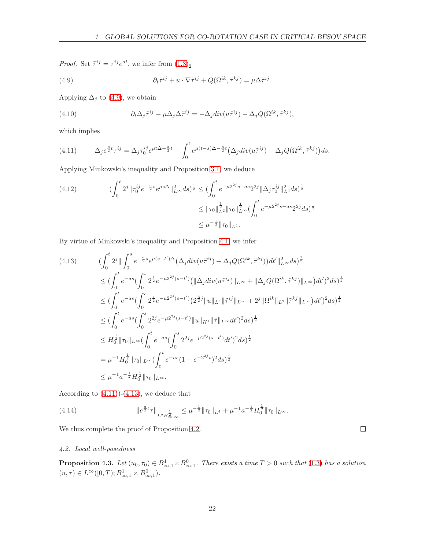*Proof.* Set  $\tilde{\tau}^{ij} = \tau^{ij} e^{at}$ , we infer from  $(1.3)_2$ 

<span id="page-21-1"></span>(4.9) 
$$
\partial_t \tilde{\tau}^{ij} + u \cdot \nabla \tilde{\tau}^{ij} + Q(\Omega^{ik}, \tilde{\tau}^{kj}) = \mu \Delta \tilde{\tau}^{ij}.
$$

Applying  $\Delta_j$  to [\(4.9\)](#page-21-1), we obtain

(4.10) 
$$
\partial_t \Delta_j \tilde{\tau}^{ij} - \mu \Delta_j \Delta \tilde{\tau}^{ij} = -\Delta_j \operatorname{div}(u \tilde{\tau}^{ij}) - \Delta_j Q(\Omega^{ik}, \tilde{\tau}^{kj}),
$$

which implies

<span id="page-21-2"></span>
$$
(4.11) \qquad \Delta_j e^{\frac{a}{2}t} \tau^{ij} = \Delta_j \tau_0^{ij} e^{\mu t \Delta - \frac{a}{2}t} - \int_0^t e^{\mu(t-s)\Delta - \frac{a}{2}t} \left(\Delta_j \operatorname{div}(u\tilde{\tau}^{ij}) + \Delta_j Q(\Omega^{ik}, \tilde{\tau}^{kj})\right) ds.
$$

Applying Minkowski's inequality and Proposition [3.1,](#page-8-4) we deduce

$$
(4.12) \qquad \qquad (\int_0^t 2^j \|\tau_0^{ij} e^{-\frac{a}{2}s} e^{\mu s \Delta}\|_{L^\infty}^2 ds)^{\frac{1}{2}} \le (\int_0^t e^{-\mu 2^{2j} s - as} 2^{2j} \|\Delta_j \tau_0^{ij}\|_{L^4}^2 ds)^{\frac{1}{2}} \le \|\tau_0\|_{L^2}^{\frac{1}{2}} \|\tau_0\|_{L^\infty}^{\frac{1}{2}} (\int_0^t e^{-\mu 2^{2j} s - as} 2^{2j} ds)^{\frac{1}{2}} \le \mu^{-\frac{1}{2}} \|\tau_0\|_{L^4}.
$$

By virtue of Minkowski's inequality and Proposition [4.1,](#page-20-6) we infer

<span id="page-21-3"></span>
$$
(4.13) \qquad \left(\int_{0}^{t} 2^{j} \|\int_{0}^{s} e^{-\frac{a}{2}s} e^{\mu(s-t')\Delta} \left(\Delta_{j} div(u\tilde{\tau}^{ij}) + \Delta_{j} Q(\Omega^{ik}, \tilde{\tau}^{kj})\right) dt'\|_{L^{\infty}}^{2} ds\right)^{\frac{1}{2}}\n\leq \left(\int_{0}^{t} e^{-as} \left(\int_{0}^{s} 2^{\frac{j}{2}} e^{-\mu 2^{2j}(s-t')} \left(\|\Delta_{j} div(u\tilde{\tau}^{ij})\|_{L^{\infty}} + \|\Delta_{j} Q(\Omega^{ik}, \tilde{\tau}^{kj})\|_{L^{\infty}}\right) dt'\right)^{2} ds\right)^{\frac{1}{2}}\n\leq \left(\int_{0}^{t} e^{-as} \left(\int_{0}^{s} 2^{\frac{j}{2}} e^{-\mu 2^{2j}(s-t')} \left(2^{\frac{3}{2}j} \|\mu\|_{L^{4}} \|\tilde{\tau}^{ij}\|_{L^{\infty}} + 2^{j} \|\Omega^{ik}\|_{L^{2}} \|\tilde{\tau}^{kj}\|_{L^{\infty}}\right) dt'\right)^{2} ds\right)^{\frac{1}{2}}\n\leq \left(\int_{0}^{t} e^{-as} \left(\int_{0}^{s} 2^{2j} e^{-\mu 2^{2j}(s-t')} \|\mu\|_{H^{1}} \|\tilde{\tau}\|_{L^{\infty}} dt'\right)^{2} ds\right)^{\frac{1}{2}}\n\leq H_{0}^{\frac{1}{2}} \|\tau_{0}\|_{L^{\infty}} \left(\int_{0}^{t} e^{-as} \left(\int_{0}^{s} 2^{2j} e^{-\mu 2^{2j}(s-t')} dt'\right)^{2} ds\right)^{\frac{1}{2}}\n= \mu^{-1} H_{0}^{\frac{1}{2}} \|\tau_{0}\|_{L^{\infty}} \left(\int_{0}^{t} e^{-as} (1 - e^{-2^{2j}s})^{2} ds\right)^{\frac{1}{2}}\n\leq \mu^{-1} a^{-\frac{1}{2}} H_{0}^{\frac{1}{2}} \|\tau_{0}\|_{L^{\infty}}.
$$

According to  $(4.11)$ )- $(4.13)$ , we deduce that

(4.14) 
$$
\|e^{\frac{a}{2}t}\tau\|_{L^2B^{\frac{1}{2}}_{\infty,\infty}} \leq \mu^{-\frac{1}{2}}\|\tau_0\|_{L^4} + \mu^{-1}a^{-\frac{1}{2}}H_0^{\frac{1}{2}}\|\tau_0\|_{L^\infty}.
$$

<span id="page-21-0"></span>We thus complete the proof of Proposition [4.2.](#page-20-7)

#### 4.2. Local well-posedness

<span id="page-21-4"></span>**Proposition 4.3.** Let  $(u_0, \tau_0) \in B^1_{\infty,1} \times B^0_{\infty,1}$ . There exists a time  $T > 0$  such that  $(1.3)$  $(1.3)$  has a solution  $(u, \tau) \in L^{\infty}([0, T); B^1_{\infty, 1} \times B^0_{\infty, 1}).$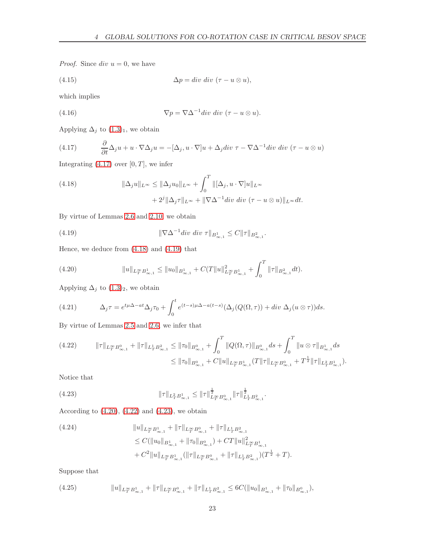*Proof.* Since  $div u = 0$ , we have

(4.15) 
$$
\Delta p = div \, div \, (\tau - u \otimes u),
$$

which implies

(4.16) 
$$
\nabla p = \nabla \Delta^{-1} \text{div div} (\tau - u \otimes u).
$$

Applying  $\Delta_j$  to  $(1.3)_1$  $(1.3)_1$  $(1.3)_1$ , we obtain

<span id="page-22-0"></span>(4.17) 
$$
\frac{\partial}{\partial t} \Delta_j u + u \cdot \nabla \Delta_j u = -[\Delta_j, u \cdot \nabla] u + \Delta_j \text{div } \tau - \nabla \Delta^{-1} \text{div div } (\tau - u \otimes u)
$$

Integrating  $(4.17)$  $(4.17)$  over  $[0, T]$ , we infer

<span id="page-22-1"></span>(4.18) 
$$
\|\Delta_j u\|_{L^\infty} \le \|\Delta_j u_0\|_{L^\infty} + \int_0^T \|\Delta_j u \cdot \nabla]u\|_{L^\infty} + 2^j \|\Delta_j \tau\|_{L^\infty} + \|\nabla \Delta^{-1} \operatorname{div} \operatorname{div} (\tau - u \otimes u)\|_{L^\infty} dt.
$$

By virtue of Lemmas [2.6](#page-7-2) and [2.10,](#page-8-2) we obtain

<span id="page-22-2"></span>(4.19) 
$$
\|\nabla \Delta^{-1} \text{div div } \tau\|_{B^1_{\infty,1}} \leq C \|\tau\|_{B^2_{\infty,1}}.
$$

Hence, we deduce from [\(4.18\)](#page-22-1) and [\(4.19\)](#page-22-2) that

<span id="page-22-3"></span>(4.20) 
$$
||u||_{L_T^{\infty}B_{\infty,1}^1} \leq ||u_0||_{B_{\infty,1}^1} + C(T||u||_{L_T^{\infty}B_{\infty,1}^1}^2 + \int_0^T ||\tau||_{B_{\infty,1}^2} dt).
$$

Applying  $\Delta_j$  to  $(1.3)_2$  $(1.3)_2$  $(1.3)_2$ , we obtain

(4.21) 
$$
\Delta_j \tau = e^{t\mu \Delta - at} \Delta_j \tau_0 + \int_0^t e^{(t-s)\mu \Delta - a(t-s)} (\Delta_j(Q(\Omega, \tau)) + div \Delta_j(u \otimes \tau)) ds.
$$

By virtue of Lemmas [2.5](#page-7-4) and [2.6,](#page-7-2) we infer that

<span id="page-22-4"></span>
$$
(4.22) \t\t\t ||\tau||_{L_T^{\infty}B_{\infty,1}^0} + ||\tau||_{L_T^1B_{\infty,1}^2} \le ||\tau_0||_{B_{\infty,1}^0} + \int_0^T ||Q(\Omega,\tau)||_{B_{\infty,1}^0} ds + \int_0^T ||u \otimes \tau||_{B_{\infty,1}^1} ds
$$
  
\n
$$
\le ||\tau_0||_{B_{\infty,1}^0} + C ||u||_{L_T^{\infty}B_{\infty,1}^1} (T ||\tau||_{L_T^{\infty}B_{\infty,1}^0} + T^{\frac{1}{2}} ||\tau||_{L_T^2B_{\infty,1}^1}).
$$

Notice that

<span id="page-22-5"></span>(4.23) 
$$
\|\tau\|_{L^2_T B^1_{\infty,1}} \le \|\tau\|_{L^\infty_T B^0_{\infty,1}}^{\frac{1}{2}} \|\tau\|_{L^1_T B^2_{\infty,1}}^{\frac{1}{2}}.
$$

According to  $(4.20)$ ,  $(4.22)$  and  $(4.23)$ , we obtain

<span id="page-22-7"></span>(4.24)  
\n
$$
\|u\|_{L_T^{\infty}B_{\infty,1}^1} + \|\tau\|_{L_T^{\infty}B_{\infty,1}^0} + \|\tau\|_{L_T^1B_{\infty,1}^2}
$$
\n
$$
\leq C(\|u_0\|_{B_{\infty,1}^1} + \|\tau_0\|_{B_{\infty,1}^0}) + CT\|u\|_{L_T^{\infty}B_{\infty,1}^1}^2
$$
\n
$$
+ C^2\|u\|_{L_T^{\infty}B_{\infty,1}^1}(\|\tau\|_{L_T^{\infty}B_{\infty,1}^0} + \|\tau\|_{L_T^1B_{\infty,1}^2})(T^{\frac{1}{2}} + T).
$$

Suppose that

<span id="page-22-6"></span>
$$
(4.25) \t\t\t\t\t\|u\|_{L^\infty_T B^1_{\infty,1}} + \|\tau\|_{L^\infty_T B^0_{\infty,1}} + \|\tau\|_{L^1_T B^2_{\infty,1}} \leq 6C(\|u_0\|_{B^1_{\infty,1}} + \|\tau_0\|_{B^0_{\infty,1}}),
$$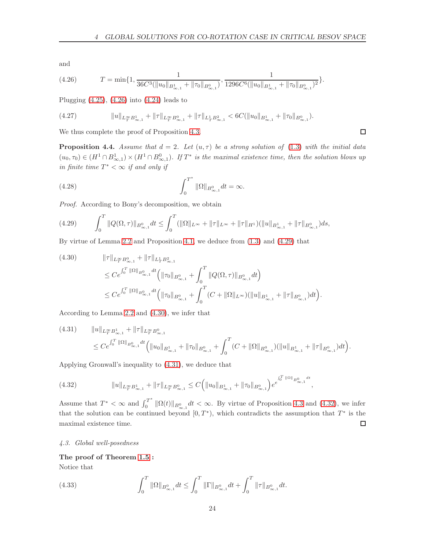and

<span id="page-23-1"></span>(4.26) 
$$
T = \min\{1, \frac{1}{36C^3(\|u_0\|_{B^1_{\infty,1}} + \|\tau_0\|_{B^0_{\infty,1}})}, \frac{1}{1296C^6(\|u_0\|_{B^1_{\infty,1}} + \|\tau_0\|_{B^0_{\infty,1}})^2}\}.
$$

Plugging  $(4.25)$  $(4.25)$ ,  $(4.26)$  $(4.26)$  into  $(4.24)$  $(4.24)$  leads to

$$
(4.27) \t\t\t\t\t\|u\|_{L^\infty_T B^1_{\infty,1}} + \|\tau\|_{L^\infty_T B^0_{\infty,1}} + \|\tau\|_{L^1_T B^2_{\infty,1}} < 6C(\|u_0\|_{B^1_{\infty,1}} + \|\tau_0\|_{B^0_{\infty,1}}).
$$

We thus complete the proof of Proposition [4.3.](#page-21-4)

<span id="page-23-6"></span>**Proposition 4.4.** Assume that  $d = 2$ . Let  $(u, \tau)$  be a strong solution of [\(1.3\)](#page-2-3) with the initial data  $(u_0, \tau_0) \in (H^1 \cap B^1_{\infty,1}) \times (H^1 \cap B^0_{\infty,1})$ . If  $T^*$  is the maximal existence time, then the solution blows up in finite time  $T^* < \infty$  if and only if

(4.28) 
$$
\int_0^{T^*} \|\Omega\|_{B^0_{\infty,1}} dt = \infty.
$$

Proof. According to Bony's decomposition, we obtain

<span id="page-23-2"></span>
$$
(4.29) \qquad \int_0^T \|Q(\Omega,\tau)\|_{B^0_{\infty,1}} dt \le \int_0^T (\|\Omega\|_{L^\infty} + \|\tau\|_{L^\infty} + \|\tau\|_{H^1}) (\|u\|_{B^1_{\infty,1}} + \|\tau\|_{B^0_{\infty,1}}) ds,
$$

By virtue of Lemma [2.2](#page-6-2) and Proposition [4.1,](#page-20-6) we deduce from [\(1.3\)](#page-2-3) and [\(4.29\)](#page-23-2) that

<span id="page-23-3"></span>
$$
(4.30) \t\t\t ||\tau||_{L_T^{\infty}B_{\infty,1}^0} + ||\tau||_{L_T^1B_{\infty,1}^2} \n\leq Ce^{\int_0^T ||\Omega||_{B_{\infty,1}^0} dt} \Big( ||\tau_0||_{B_{\infty,1}^0} + \int_0^T ||Q(\Omega,\tau)||_{B_{\infty,1}^0} dt \Big) \n\leq Ce^{\int_0^T ||\Omega||_{B_{\infty,1}^0} dt} \Big( ||\tau_0||_{B_{\infty,1}^0} + \int_0^T (C + ||\Omega||_{L^{\infty}}) (||u||_{B_{\infty,1}^1} + ||\tau||_{B_{\infty,1}^0}) dt \Big).
$$

According to Lemma [2.2](#page-6-2) and [\(4.30\)](#page-23-3), we infer that

<span id="page-23-4"></span>
$$
(4.31) \t\t ||u||_{L_T^{\infty} B_{\infty,1}^1} + ||\tau||_{L_T^{\infty} B_{\infty,1}^0} \n\leq Ce^{\int_0^T ||\Omega||_{B_{\infty,1}^0} dt} \Big( ||u_0||_{B_{\infty,1}^1} + ||\tau_0||_{B_{\infty,1}^0} + \int_0^T (C + ||\Omega||_{B_{\infty,1}^0}) (||u||_{B_{\infty,1}^1} + ||\tau||_{B_{\infty,1}^0}) dt \Big).
$$

Applying Gronwall's inequality to [\(4.31\)](#page-23-4), we deduce that

<span id="page-23-5"></span>
$$
(4.32) \t\t\t ||u||_{L_T^{\infty}B_{\infty,1}^1} + ||\tau||_{L_T^{\infty}B_{\infty,1}^0} \leq C \Big( ||u_0||_{B_{\infty,1}^1} + ||\tau_0||_{B_{\infty,1}^0} \Big) e^{t_0^{(T||\Omega||_{B_{\infty,1}^0}dt}},
$$

Assume that  $T^* < \infty$  and  $\int_0^{T^*}$  $\int_0^1 \|\Omega(t)\|_{B^0_{\infty,1}} dt < \infty$ . By virtue of Proposition [4.3](#page-21-4) and [\(4.32\)](#page-23-5), we infer that the solution can be continued beyond  $[0, T^*$ ), which contradicts the assumption that  $T^*$  is the  $\Box$ maximal existence time.

#### <span id="page-23-0"></span>4.3. Global well-posedness

#### The proof of Theorem [1.5](#page-4-0) :

Notice that

(4.33) 
$$
\int_0^T \|\Omega\|_{B^0_{\infty,1}} dt \leq \int_0^T \|\Gamma\|_{B^0_{\infty,1}} dt + \int_0^T \|\tau\|_{B^0_{\infty,1}} dt.
$$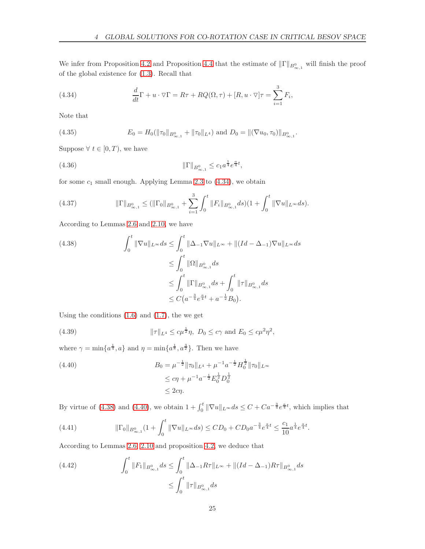We infer from Proposition [4.2](#page-20-7) and Proposition [4.4](#page-23-6) that the estimate of  $\|\Gamma\|_{B^0_{\infty,1}}$  will finish the proof of the global existence for [\(1.3\)](#page-2-3). Recall that

<span id="page-24-0"></span>(4.34) 
$$
\frac{d}{dt}\Gamma + u \cdot \nabla \Gamma = R\tau + RQ(\Omega, \tau) + [R, u \cdot \nabla]\tau = \sum_{i=1}^{3} F_i,
$$

Note that

(4.35) 
$$
E_0 = H_0(\|\tau_0\|_{B^0_{\infty,1}} + \|\tau_0\|_{L^4}) \text{ and } D_0 = \|(\nabla u_0, \tau_0)\|_{B^0_{\infty,1}}.
$$

Suppose  $\forall t \in [0, T)$ , we have

(4.36) 
$$
\|\Gamma\|_{B^0_{\infty,1}} \leq c_1 a^{\frac{1}{4}} e^{\frac{a}{4}t},
$$

for some  $c_1$  small enough. Applying Lemma [2.3](#page-6-3) to  $(4.34)$ , we obtain

<span id="page-24-4"></span>
$$
(4.37) \t\t\t\t \|\Gamma\|_{B^{0}_{\infty,1}} \leq (\|\Gamma_0\|_{B^{0}_{\infty,1}} + \sum_{i=1}^{3} \int_0^t \|F_i\|_{B^{0}_{\infty,1}} ds)(1 + \int_0^t \|\nabla u\|_{L^{\infty}} ds).
$$

According to Lemmas [2.6](#page-7-2) and [2.10,](#page-8-2) we have

<span id="page-24-1"></span>
$$
(4.38) \qquad \int_0^t \|\nabla u\|_{L^\infty} ds \le \int_0^t \|\Delta_{-1}\nabla u\|_{L^\infty} + \|(Id - \Delta_{-1})\nabla u\|_{L^\infty} ds
$$
  

$$
\le \int_0^t \|\Omega\|_{B^0_{\infty,1}} ds
$$
  

$$
\le \int_0^t \|\Gamma\|_{B^0_{\infty,1}} ds + \int_0^t \|\tau\|_{B^0_{\infty,1}} ds
$$
  

$$
\le C\left(a^{-\frac{3}{4}}e^{\frac{a}{4}t} + a^{-\frac{1}{2}}B_0\right).
$$

Using the conditions  $(1.6)$  and  $(1.7)$ , the we get

(4.39) 
$$
\|\tau\|_{L^4} \leq c\mu^{\frac{1}{2}}\eta, \ D_0 \leq c\gamma \text{ and } E_0 \leq c\mu^2\eta^2,
$$

where  $\gamma = \min\{a^{\frac{1}{4}}, a\}$  and  $\eta = \min\{a^{\frac{1}{8}}, a^{\frac{3}{2}}\}$ . Then we have

<span id="page-24-2"></span>(4.40)  
\n
$$
B_0 = \mu^{-\frac{1}{2}} \|\tau_0\|_{L^4} + \mu^{-1} a^{-\frac{1}{2}} H_0^{\frac{1}{2}} \|\tau_0\|_{L^\infty}
$$
\n
$$
\leq c\eta + \mu^{-1} a^{-\frac{1}{2}} E_0^{\frac{1}{2}} D_0^{\frac{1}{2}}
$$
\n
$$
\leq 2c\eta.
$$

By virtue of [\(4.38\)](#page-24-1) and [\(4.40\)](#page-24-2), we obtain  $1 + \int_0^t \|\nabla u\|_{L^\infty} ds \leq C + C a^{-\frac{3}{4}} e^{\frac{a}{4}t}$ , which implies that

(4.41) 
$$
\|\Gamma_0\|_{B^0_{\infty,1}}(1+\int_0^t \|\nabla u\|_{L^\infty}ds) \le CD_0 + CD_0 a^{-\frac{3}{4}} e^{\frac{a}{4}t} \le \frac{c_1}{10} a^{\frac{1}{4}} e^{\frac{a}{4}t}.
$$

According to Lemmas [2.6,](#page-7-2) [2.10](#page-8-2) and proposition [4.2,](#page-20-7) we deduce that

<span id="page-24-3"></span>(4.42) 
$$
\int_0^t \|F_1\|_{B^0_{\infty,1}} ds \le \int_0^t \|\Delta_{-1} R\tau\|_{L^\infty} + \|(Id - \Delta_{-1})R\tau\|_{B^0_{\infty,1}} ds
$$

$$
\le \int_0^t \|\tau\|_{B^0_{\infty,1}} ds
$$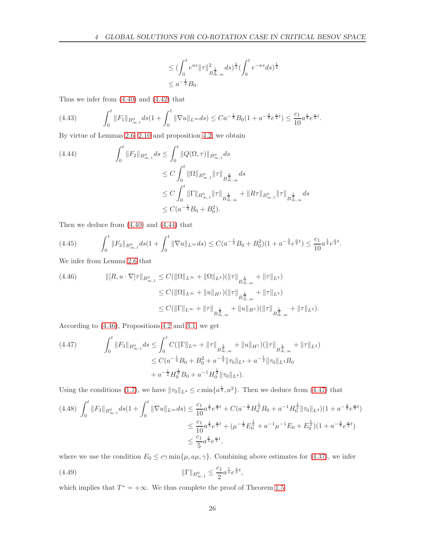$$
\leq (\int_0^t e^{as} ||\tau||_{B^{\frac{1}{2}}_{\infty,\infty}}^2 ds)^{\frac{1}{2}} (\int_0^t e^{-as} ds)^{\frac{1}{2}}
$$
  

$$
\leq a^{-\frac{1}{2}} B_0.
$$

Thus we infer from [\(4.40\)](#page-24-2) and [\(4.42\)](#page-24-3) that

$$
(4.43) \qquad \int_0^t \|F_1\|_{B^0_{\infty,1}} ds \left(1 + \int_0^t \|\nabla u\|_{L^\infty} ds\right) \leq C a^{-\frac{1}{2}} B_0 \left(1 + a^{-\frac{3}{4}} e^{\frac{a}{4}t}\right) \leq \frac{c_1}{10} a^{\frac{1}{4}} e^{\frac{a}{4}t}.
$$

By virtue of Lemmas [2.6,](#page-7-2) [2.10](#page-8-2) and proposition [4.2,](#page-20-7) we obtain

<span id="page-25-0"></span>
$$
(4.44) \qquad \int_0^t \|F_2\|_{B^0_{\infty,1}} ds \le \int_0^t \|Q(\Omega,\tau)\|_{B^0_{\infty,1}} ds
$$
  

$$
\le C \int_0^t \|\Omega\|_{B^0_{\infty,1}} \|\tau\|_{B^{\frac{1}{2}}_{\infty,\infty}} ds
$$
  

$$
\le C \int_0^t \|\Gamma\|_{B^0_{\infty,1}} \|\tau\|_{B^{\frac{1}{2}}_{\infty,\infty}} + \|R\tau\|_{B^0_{\infty,1}} \|\tau\|_{B^{\frac{1}{2}}_{\infty,\infty}}
$$
  

$$
\le C(a^{-\frac{1}{4}}B_0 + B_0^2).
$$

Then we deduce from [\(4.40\)](#page-24-2) and [\(4.44\)](#page-25-0) that

$$
(4.45) \qquad \int_0^t \|F_2\|_{B^0_{\infty,1}} ds \left(1 + \int_0^t \|\nabla u\|_{L^\infty} ds\right) \le C\left(a^{-\frac{1}{4}}B_0 + B_0^2\right) \left(1 + a^{-\frac{3}{4}}e^{\frac{a}{4}t}\right) \le \frac{c_1}{10}a^{\frac{1}{4}}e^{\frac{a}{4}t}.
$$

We infer from Lemma [2.6](#page-7-2) that

<span id="page-25-1"></span>
$$
(4.46) \t\t\t\t\t\| [R, u \cdot \nabla] \tau \|_{B^{0}_{\infty, 1}} \leq C(\|\Omega\|_{L^{\infty}} + \|\Omega\|_{L^{4}})(\|\tau\|_{B^{\frac{1}{2}}_{\infty,\infty}} + \|\tau\|_{L^{4}})
$$
  
\n
$$
\leq C(\|\Omega\|_{L^{\infty}} + \|u\|_{H^{1}})(\|\tau\|_{B^{\frac{1}{2}}_{\infty,\infty}} + \|\tau\|_{L^{4}})
$$
  
\n
$$
\leq C(\|\Gamma\|_{L^{\infty}} + \|\tau\|_{B^{\frac{1}{2}}_{\infty,\infty}} + \|u\|_{H^{1}})(\|\tau\|_{B^{\frac{1}{2}}_{\infty,\infty}} + \|\tau\|_{L^{4}}).
$$

According to [\(4.46\)](#page-25-1), Propositions [4.2](#page-20-7) and [3.1,](#page-8-4) we get

<span id="page-25-2"></span>
$$
(4.47) \qquad \int_0^t \|F_3\|_{B^0_{\infty,1}} ds \le \int_0^t C(\|\Gamma\|_{L^\infty} + \|\tau\|_{B^{\frac{1}{2}}_{\infty,\infty}} + \|u\|_{H^1})(\|\tau\|_{B^{\frac{1}{2}}_{\infty,\infty}} + \|\tau\|_{L^4})
$$
  

$$
\le C(a^{-\frac{1}{4}}B_0 + B_0^2 + a^{-\frac{3}{4}}\|\tau_0\|_{L^4} + a^{-\frac{1}{2}}\|\tau_0\|_{L^4}B_0
$$
  

$$
+ a^{-\frac{1}{2}}H_0^{\frac{1}{2}}B_0 + a^{-1}H_0^{\frac{1}{2}}\|\tau_0\|_{L^4}).
$$

Using the conditions [\(1.7\)](#page-4-3), we have  $\|\tau_0\|_{L^4} \leq c \min\{a^{\frac{1}{2}}, a^2\}$ . Then we deduce from [\(4.47\)](#page-25-2) that

$$
(4.48)\n\int_{0}^{t} \|F_{3}\|_{B^{0}_{\infty,1}} ds \left(1 + \int_{0}^{t} \|\nabla u\|_{L^{\infty}} ds\right) \leq \frac{c_{1}}{10} a^{\frac{1}{4}} e^{\frac{a}{4}t} + C\left(a^{-\frac{1}{2}} H_{0}^{\frac{1}{2}} B_{0} + a^{-1} H_{0}^{\frac{1}{2}} \|\tau_{0}\|_{L^{4}}\right) \left(1 + a^{-\frac{3}{4}} e^{\frac{a}{4}t}\right)
$$
\n
$$
\leq \frac{c_{1}}{10} a^{\frac{1}{4}} e^{\frac{a}{4}t} + \left(\mu^{-\frac{1}{2}} E_{0}^{\frac{1}{2}} + a^{-1} \mu^{-1} E_{0} + E_{0}^{\frac{1}{2}}\right) \left(1 + a^{-\frac{3}{4}} e^{\frac{a}{4}t}\right)
$$
\n
$$
\leq \frac{c_{1}}{5} a^{\frac{1}{4}} e^{\frac{a}{4}t},
$$

where we use the condition  $E_0 \le c\gamma \min{\mu, a\mu, \gamma}$ . Combining above estimates for [\(4.37\)](#page-24-4), we infer

(4.49) 
$$
\|\Gamma\|_{B^{0}_{\infty,1}} \leq \frac{c_1}{2} a^{\frac{1}{4}} e^{\frac{a}{2}t},
$$

which implies that  $T^* = +\infty$ . We thus complete the proof of Theorem [1.5.](#page-4-0)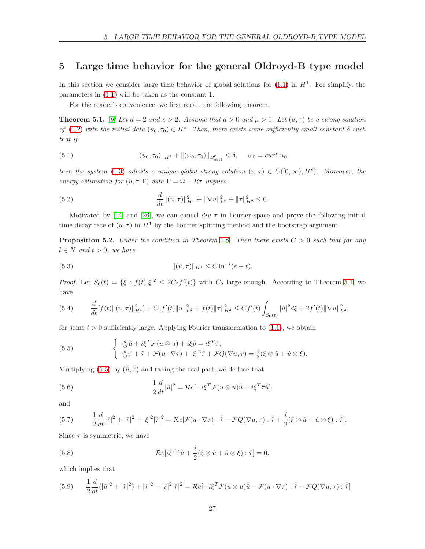### <span id="page-26-0"></span>5 Large time behavior for the general Oldroyd-B type model

In this section we consider large time behavior of global solutions for  $(1.1)$  in  $H<sup>1</sup>$ . For simplify, the parameters in [\(1.1\)](#page-1-1) will be taken as the constant 1.

For the reader's convenience, we first recall the following theorem.

<span id="page-26-1"></span>**Theorem 5.1.** [\[9\]](#page-29-0) Let  $d = 2$  and  $s > 2$ . Assume that  $a > 0$  and  $\mu > 0$ . Let  $(u, \tau)$  be a strong solution of [\(1.2\)](#page-1-2) with the initial data  $(u_0, \tau_0) \in H^s$ . Then, there exists some sufficiently small constant  $\delta$  such that if

(5.1) 
$$
\|(u_0, \tau_0)\|_{H^1} + \|(\omega_0, \tau_0)\|_{B^0_{\infty, 1}} \leq \delta, \quad \omega_0 = \text{curl } u_0,
$$

then the system [\(1.3\)](#page-2-3) admits a unique global strong solution  $(u, \tau) \in C([0, \infty); H^s)$ . Moreover, the energy estimation for  $(u, \tau, \Gamma)$  with  $\Gamma = \Omega - R\tau$  implies

<span id="page-26-2"></span>(5.2) 
$$
\frac{d}{dt}||(u,\tau)||_{H^1}^2 + ||\nabla u||_{L^2}^2 + ||\tau||_{H^2}^2 \leq 0.
$$

Motivated by [\[14\]](#page-29-2) and [\[26\]](#page-30-12), we can cancel div  $\tau$  in Fourier space and prove the following initial time decay rate of  $(u, \tau)$  in  $H^1$  by the Fourier splitting method and the bootstrap argument.

<span id="page-26-6"></span>**Proposition 5.2.** Under the condition in Theorem [1](#page-4-1).8. Then there exists  $C > 0$  such that for any  $l \in N$  and  $t > 0$ , we have

<span id="page-26-5"></span>(5.3) 
$$
\|(u,\tau)\|_{H^1} \leq C \ln^{-l}(e+t).
$$

*Proof.* Let  $S_0(t) = \{\xi : f(t)|\xi|^2 \leq 2C_2f'(t)\}\$  with  $C_2$  large enough. According to Theorem [5.1,](#page-26-1) we have

<span id="page-26-4"></span>
$$
(5.4) \qquad \frac{d}{dt}[f(t)||(u,\tau)||_{H^1}^2] + C_2f'(t)||u||_{L^2}^2 + f(t)||\tau||_{H^2}^2 \leq Cf'(t)\int_{S_0(t)}|\hat{u}|^2d\xi + 2f'(t)||\nabla u||_{L^2}^2,
$$

for some  $t > 0$  sufficiently large. Applying Fourier transformation to  $(1.1)$ , we obtain

<span id="page-26-3"></span>(5.5) 
$$
\begin{cases} \frac{d}{dt}\hat{u} + i\xi^T \mathcal{F}(u \otimes u) + i\xi \hat{p} = i\xi^T \hat{\tau}, \\ \frac{d}{dt}\hat{\tau} + \hat{\tau} + \mathcal{F}(u \cdot \nabla \tau) + |\xi|^2 \hat{\tau} + \mathcal{F}Q(\nabla u, \tau) = \frac{i}{2}(\xi \otimes \hat{u} + \hat{u} \otimes \xi). \end{cases}
$$

Multiplying [\(5.5\)](#page-26-3) by  $(\tilde{u}, \tilde{\tau})$  and taking the real part, we deduce that

(5.6) 
$$
\frac{1}{2}\frac{d}{dt}|\hat{u}|^2 = \mathcal{R}e[-i\xi^T \mathcal{F}(u\otimes u)\overline{\hat{u}} + i\xi^T \hat{\tau}\overline{\hat{u}}],
$$

and

(5.7) 
$$
\frac{1}{2}\frac{d}{dt}|\hat{\tau}|^2+|\hat{\tau}|^2+|\xi|^2|\hat{\tau}|^2=\mathcal{R}e[\mathcal{F}(u\cdot\nabla\tau):\bar{\hat{\tau}}-\mathcal{F}Q(\nabla u,\tau):\bar{\hat{\tau}}+\frac{i}{2}(\xi\otimes\hat{u}+\hat{u}\otimes\xi):\bar{\hat{\tau}}].
$$

Since  $\tau$  is symmetric, we have

(5.8) 
$$
\mathcal{R}e[i\xi^T\hat{\tau}\bar{\hat{u}} + \frac{i}{2}(\xi\otimes\hat{u} + \hat{u}\otimes\xi):\bar{\hat{\tau}}] = 0,
$$

which implies that

<span id="page-26-7"></span>(5.9) 
$$
\frac{1}{2}\frac{d}{dt}(|\hat{u}|^2 + |\hat{\tau}|^2) + |\hat{\tau}|^2 + |\xi|^2|\hat{\tau}|^2 = \mathcal{R}e[-i\xi^T\mathcal{F}(u\otimes u)\bar{\hat{u}} - \mathcal{F}(u\cdot\nabla\tau):\bar{\hat{\tau}} - \mathcal{F}Q(\nabla u,\tau):\bar{\hat{\tau}}]
$$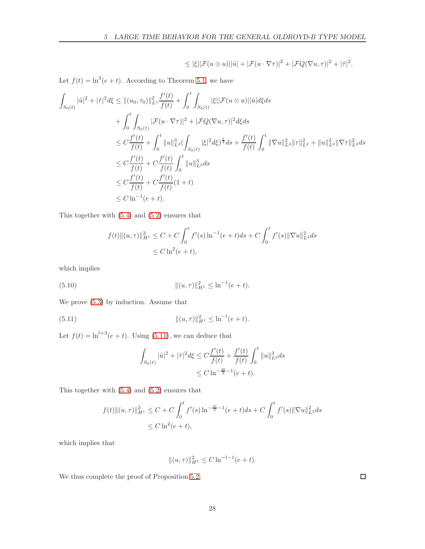$$
\leq |\xi| |\mathcal{F}(u \otimes u)||\hat{u}| + |\mathcal{F}(u \cdot \nabla \tau)|^2 + |\mathcal{F}Q(\nabla u, \tau)|^2 + |\hat{\tau}|^2.
$$

Let  $f(t) = \ln^3(e+t)$ . According to Theorem [5.1,](#page-26-1) we have

$$
\int_{S_0(t)} |\hat{u}|^2 + |\hat{\tau}|^2 d\xi \le ||(u_0, \tau_0)||_{L^1}^2 \frac{f'(t)}{f(t)} + \int_0^t \int_{S_0(t)} |\xi| |\mathcal{F}(u \otimes u)| |\hat{u}| d\xi ds \n+ \int_0^t \int_{S_0(t)} |\mathcal{F}(u \cdot \nabla \tau)|^2 + |\mathcal{F}Q(\nabla u, \tau)|^2 d\xi ds \n\le C \frac{f'(t)}{f(t)} + \int_0^t ||u||_{L^2}^3 (\int_{S_0(t)} |\xi|^2 d\xi)^{\frac{1}{2}} ds + \frac{f'(t)}{f(t)} \int_0^t ||\nabla u||_{L^2}^2 ||\tau||_{L^2}^2 + ||u||_{L^2}^2 ||\nabla \tau||_{L^2}^2 ds \n\le C \frac{f'(t)}{f(t)} + C \frac{f'(t)}{f(t)} \int_0^t ||u||_{L^2}^3 ds \n\le C \frac{f'(t)}{f(t)} + C \frac{f'(t)}{f(t)} (1 + t) \n\le C \ln^{-1}(e + t).
$$

This together with [\(5.4\)](#page-26-4) and [\(5.2\)](#page-26-2) ensures that

$$
f(t) \|(u,\tau)\|_{H^1}^2 \le C + C \int_0^t f'(s) \ln^{-1}(e+t)ds + C \int_0^t f'(s) \|\nabla u\|_{L^2}^2 ds
$$
  
 
$$
\le C \ln^2(e+t),
$$

which implies

(5.10) 
$$
\|(u,\tau)\|_{H^1}^2 \leq \ln^{-1}(e+t).
$$

We prove [\(5.3\)](#page-26-5) by induction. Assume that

<span id="page-27-0"></span>(5.11) 
$$
\|(u,\tau)\|_{H^1}^2 \leq \ln^{-l}(e+t).
$$

Let  $f(t) = \ln^{l+3}(e+t)$ . Using [\(5.11\)](#page-27-0), we can deduce that

$$
\int_{S_0(t)} |\hat{u}|^2 + |\hat{\tau}|^2 d\xi \le C \frac{f'(t)}{f(t)} + \frac{f'(t)}{f(t)} \int_0^t \|u\|_{L^2}^3 ds
$$
  

$$
\le C \ln^{-\frac{3l}{2}-1} (e+t).
$$

This together with [\(5.4\)](#page-26-4) and [\(5.2\)](#page-26-2) ensures that

$$
f(t) \| (u, \tau) \|_{H^1}^2 \le C + C \int_0^t f'(s) \ln^{-\frac{3l}{2}-1} (e+t) ds + C \int_0^t f'(s) \| \nabla u \|_{L^2}^2 ds
$$
  
 
$$
\le C \ln^2(e+t),
$$

which implies that

$$
||(u,\tau)||_{H^1}^2 \le C \ln^{-l-1}(e+t).
$$

We thus complete the proof of Proposition [5.2.](#page-26-6)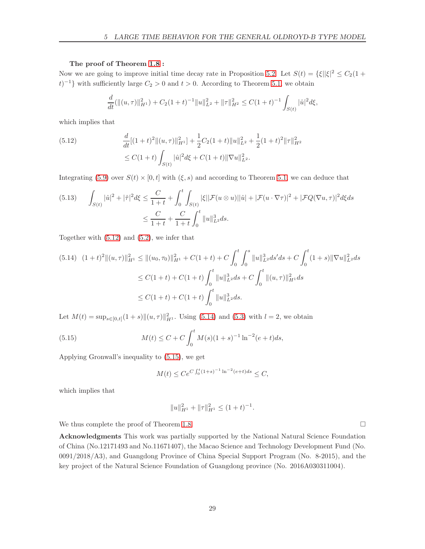#### The proof of Theorem [1.8](#page-4-1) :

Now we are going to improve initial time decay rate in Proposition [5.2.](#page-26-6) Let  $S(t) = {\xi} ||\xi||^2 \le C_2(1 +$  $(t)^{-1}$  with sufficiently large  $C_2 > 0$  and  $t > 0$ . According to Theorem [5.1,](#page-26-1) we obtain

$$
\frac{d}{dt}(\|(u,\tau)\|_{H^1}^2) + C_2(1+t)^{-1} \|u\|_{L^2}^2 + \|\tau\|_{H^2}^2 \leq C(1+t)^{-1} \int_{S(t)} |\hat{u}|^2 d\xi,
$$

which implies that

<span id="page-28-1"></span>(5.12) 
$$
\frac{d}{dt}[(1+t)^2||(u,\tau)||_{H^1}^2] + \frac{1}{2}C_2(1+t)||u||_{L^2}^2 + \frac{1}{2}(1+t)^2||\tau||_{H^2}^2
$$

$$
\leq C(1+t)\int_{S(t)}|\hat{u}|^2d\xi + C(1+t)||\nabla u||_{L^2}^2.
$$

Integrating [\(5.9\)](#page-26-7) over  $S(t) \times [0, t]$  with  $(\xi, s)$  and according to Theorem [5.1,](#page-26-1) we can deduce that

$$
(5.13) \qquad \int_{S(t)} |\hat{u}|^2 + |\hat{\tau}|^2 d\xi \le \frac{C}{1+t} + \int_0^t \int_{S(t)} |\xi| |\mathcal{F}(u \otimes u)| |\hat{u}| + |\mathcal{F}(u \cdot \nabla \tau)|^2 + |\mathcal{F}Q(\nabla u, \tau)|^2 d\xi ds
$$
  

$$
\le \frac{C}{1+t} + \frac{C}{1+t} \int_0^t \|u\|_{L^2}^3 ds.
$$

Together with [\(5.12\)](#page-28-1) and [\(5.2\)](#page-26-2), we infer that

<span id="page-28-2"></span>
$$
(5.14) \quad (1+t)^{2} \|(u,\tau)\|_{H^{1}}^{2} \leq \|(u_{0},\tau_{0})\|_{H^{1}}^{2} + C(1+t) + C \int_{0}^{t} \int_{0}^{s} \|u\|_{L^{2}}^{3} ds + C \int_{0}^{t} (1+s) \|\nabla u\|_{L^{2}}^{2} ds
$$
  

$$
\leq C(1+t) + C(1+t) \int_{0}^{t} \|u\|_{L^{2}}^{3} ds + C \int_{0}^{t} \|(u,\tau)\|_{H^{1}}^{2} ds
$$
  

$$
\leq C(1+t) + C(1+t) \int_{0}^{t} \|u\|_{L^{2}}^{3} ds.
$$

Let  $M(t) = \sup_{s \in [0,t]} (1+s) ||(u, \tau)||_{H^1}^2$ . Using [\(5.14\)](#page-28-2) and [\(5.3\)](#page-26-5) with  $l = 2$ , we obtain

<span id="page-28-3"></span>(5.15) 
$$
M(t) \le C + C \int_0^t M(s)(1+s)^{-1} \ln^{-2}(e+t)ds,
$$

Applying Gronwall's inequality to [\(5.15\)](#page-28-3), we get

$$
M(t) \le Ce^{C \int_0^t (1+s)^{-1} \ln^{-2}(e+t) ds} \le C,
$$

which implies that

$$
||u||_{H^1}^2 + ||\tau||_{H^1}^2 \le (1+t)^{-1}.
$$

We thus complete the proof of Theorem [1.8.](#page-4-1)  $\Box$ 

<span id="page-28-0"></span>Acknowledgments This work was partially supported by the National Natural Science Foundation of China (No.12171493 and No.11671407), the Macao Science and Technology Development Fund (No. 0091/2018/A3), and Guangdong Province of China Special Support Program (No. 8-2015), and the key project of the Natural Science Foundation of Guangdong province (No. 2016A030311004).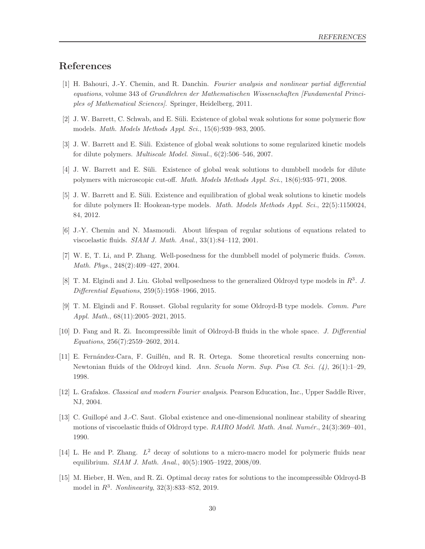# <span id="page-29-13"></span>References

- [1] H. Bahouri, J.-Y. Chemin, and R. Danchin. Fourier analysis and nonlinear partial differential equations, volume 343 of Grundlehren der Mathematischen Wissenschaften [Fundamental Principles of Mathematical Sciences]. Springer, Heidelberg, 2011.
- <span id="page-29-9"></span><span id="page-29-8"></span>[2] J. W. Barrett, C. Schwab, and E. Süli. Existence of global weak solutions for some polymeric flow models. Math. Models Methods Appl. Sci., 15(6):939–983, 2005.
- <span id="page-29-10"></span>[3] J. W. Barrett and E. Süli. Existence of global weak solutions to some regularized kinetic models for dilute polymers. Multiscale Model. Simul., 6(2):506–546, 2007.
- <span id="page-29-11"></span>[4] J. W. Barrett and E. Süli. Existence of global weak solutions to dumbbell models for dilute polymers with microscopic cut-off. Math. Models Methods Appl. Sci., 18(6):935–971, 2008.
- [5] J. W. Barrett and E. S¨uli. Existence and equilibration of global weak solutions to kinetic models for dilute polymers II: Hookean-type models. Math. Models Methods Appl. Sci., 22(5):1150024, 84, 2012.
- <span id="page-29-12"></span><span id="page-29-6"></span>[6] J.-Y. Chemin and N. Masmoudi. About lifespan of regular solutions of equations related to viscoelastic fluids. SIAM J. Math. Anal., 33(1):84–112, 2001.
- <span id="page-29-3"></span>[7] W. E, T. Li, and P. Zhang. Well-posedness for the dumbbell model of polymeric fluids. Comm. Math. Phys., 248(2):409–427, 2004.
- <span id="page-29-0"></span>[8] T. M. Elgindi and J. Liu. Global wellposedness to the generalized Oldroyd type models in  $R^3$ . J. Differential Equations, 259(5):1958–1966, 2015.
- <span id="page-29-1"></span>[9] T. M. Elgindi and F. Rousset. Global regularity for some Oldroyd-B type models. Comm. Pure Appl. Math., 68(11):2005–2021, 2015.
- <span id="page-29-5"></span>[10] D. Fang and R. Zi. Incompressible limit of Oldroyd-B fluids in the whole space. J. Differential Equations, 256(7):2559–2602, 2014.
- [11] E. Fernández-Cara, F. Guillén, and R. R. Ortega. Some theoretical results concerning non-Newtonian fluids of the Oldroyd kind. Ann. Scuola Norm. Sup. Pisa Cl. Sci. (4), 26(1):1–29, 1998.
- <span id="page-29-14"></span><span id="page-29-4"></span>[12] L. Grafakos. Classical and modern Fourier analysis. Pearson Education, Inc., Upper Saddle River, NJ, 2004.
- [13] C. Guillopé and J.-C. Saut. Global existence and one-dimensional nonlinear stability of shearing motions of viscoelastic fluids of Oldroyd type. RAIRO Modél. Math. Anal. Numér., 24(3):369–401, 1990.
- <span id="page-29-7"></span><span id="page-29-2"></span>[14] L. He and P. Zhang.  $L^2$  decay of solutions to a micro-macro model for polymeric fluids near equilibrium. SIAM J. Math. Anal., 40(5):1905–1922, 2008/09.
- [15] M. Hieber, H. Wen, and R. Zi. Optimal decay rates for solutions to the incompressible Oldroyd-B model in  $R^3$ . *Nonlinearity*,  $32(3):833-852$ ,  $2019$ .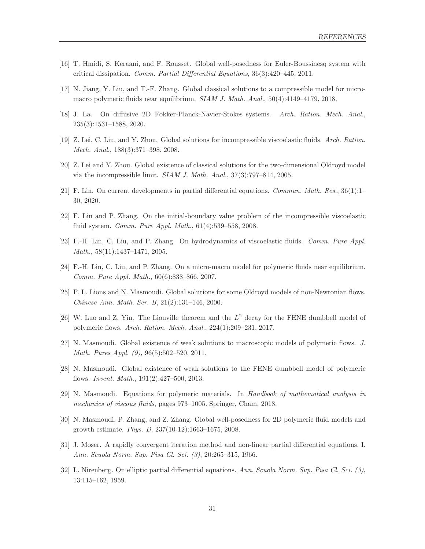- <span id="page-30-16"></span><span id="page-30-13"></span>[16] T. Hmidi, S. Keraani, and F. Rousset. Global well-posedness for Euler-Boussinesq system with critical dissipation. Comm. Partial Differential Equations, 36(3):420–445, 2011.
- <span id="page-30-8"></span>[17] N. Jiang, Y. Liu, and T.-F. Zhang. Global classical solutions to a compressible model for micromacro polymeric fluids near equilibrium. SIAM J. Math. Anal., 50(4):4149–4179, 2018.
- <span id="page-30-5"></span>[18] J. La. On diffusive 2D Fokker-Planck-Navier-Stokes systems. Arch. Ration. Mech. Anal., 235(3):1531–1588, 2020.
- <span id="page-30-4"></span>[19] Z. Lei, C. Liu, and Y. Zhou. Global solutions for incompressible viscoelastic fluids. Arch. Ration. Mech. Anal., 188(3):371–398, 2008.
- <span id="page-30-10"></span>[20] Z. Lei and Y. Zhou. Global existence of classical solutions for the two-dimensional Oldroyd model via the incompressible limit. SIAM J. Math. Anal., 37(3):797–814, 2005.
- <span id="page-30-6"></span>[21] F. Lin. On current developments in partial differential equations. Commun. Math. Res., 36(1):1– 30, 2020.
- <span id="page-30-7"></span>[22] F. Lin and P. Zhang. On the initial-boundary value problem of the incompressible viscoelastic fluid system. Comm. Pure Appl. Math., 61(4):539–558, 2008.
- <span id="page-30-0"></span>[23] F.-H. Lin, C. Liu, and P. Zhang. On hydrodynamics of viscoelastic fluids. Comm. Pure Appl. Math., 58(11):1437–1471, 2005.
- <span id="page-30-1"></span>[24] F.-H. Lin, C. Liu, and P. Zhang. On a micro-macro model for polymeric fluids near equilibrium. Comm. Pure Appl. Math., 60(6):838–866, 2007.
- <span id="page-30-12"></span>[25] P. L. Lions and N. Masmoudi. Global solutions for some Oldroyd models of non-Newtonian flows. Chinese Ann. Math. Ser. B, 21(2):131–146, 2000.
- <span id="page-30-2"></span>[26] W. Luo and Z. Yin. The Liouville theorem and the  $L^2$  decay for the FENE dumbbell model of polymeric flows. Arch. Ration. Mech. Anal., 224(1):209–231, 2017.
- <span id="page-30-3"></span>[27] N. Masmoudi. Global existence of weak solutions to macroscopic models of polymeric flows. J. Math. Pures Appl. (9), 96(5):502–520, 2011.
- <span id="page-30-11"></span>[28] N. Masmoudi. Global existence of weak solutions to the FENE dumbbell model of polymeric flows. Invent. Math., 191(2):427–500, 2013.
- <span id="page-30-9"></span>[29] N. Masmoudi. Equations for polymeric materials. In Handbook of mathematical analysis in mechanics of viscous fluids, pages 973–1005. Springer, Cham, 2018.
- <span id="page-30-15"></span>[30] N. Masmoudi, P. Zhang, and Z. Zhang. Global well-posedness for 2D polymeric fluid models and growth estimate. Phys. D, 237(10-12):1663–1675, 2008.
- <span id="page-30-14"></span>[31] J. Moser. A rapidly convergent iteration method and non-linear partial differential equations. I. Ann. Scuola Norm. Sup. Pisa Cl. Sci. (3), 20:265–315, 1966.
- [32] L. Nirenberg. On elliptic partial differential equations. Ann. Scuola Norm. Sup. Pisa Cl. Sci. (3), 13:115–162, 1959.